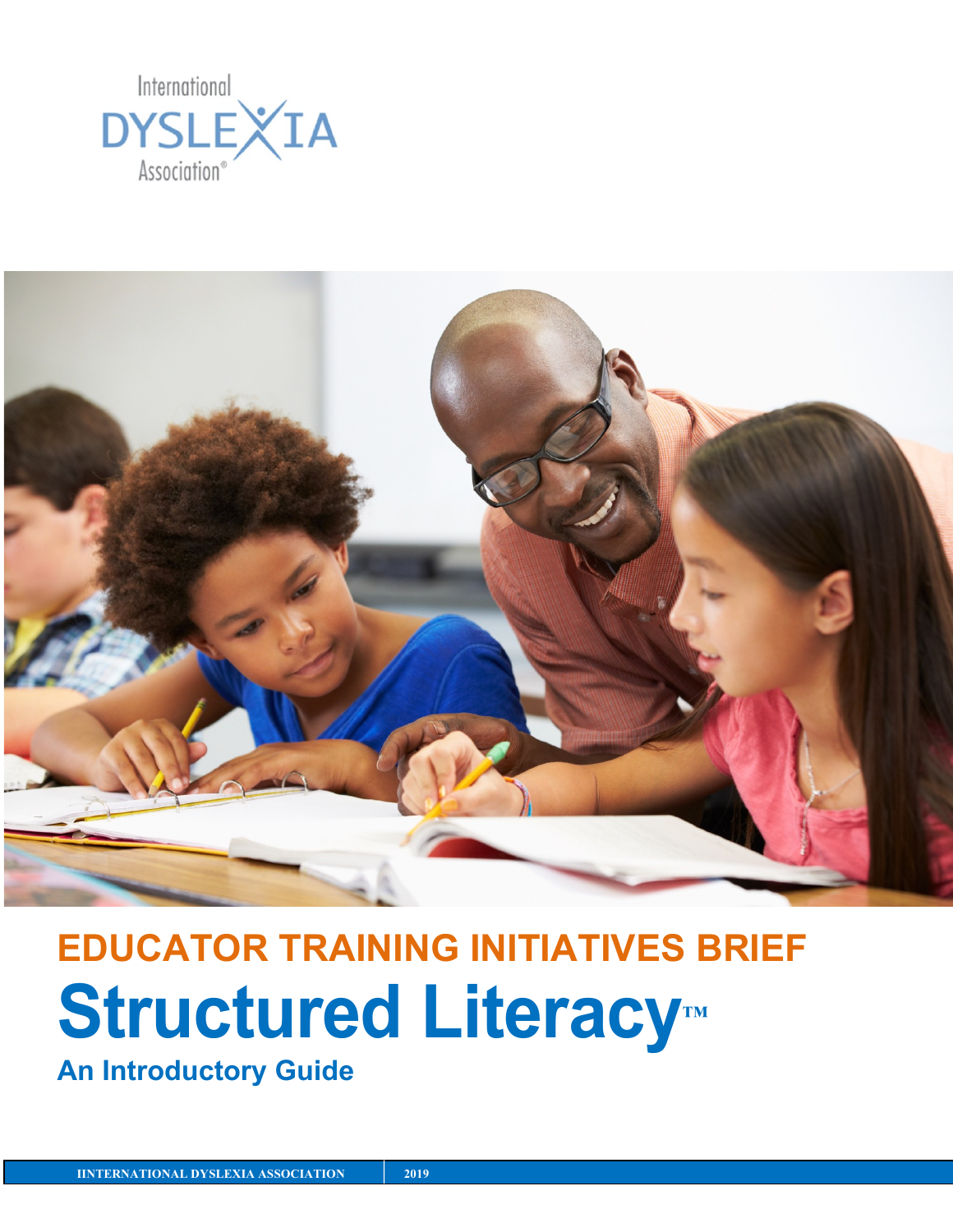



# **EDUCATOR TRAINING INITIATIVES BRIEF Structured Literacy™**

**An Introductory Guide**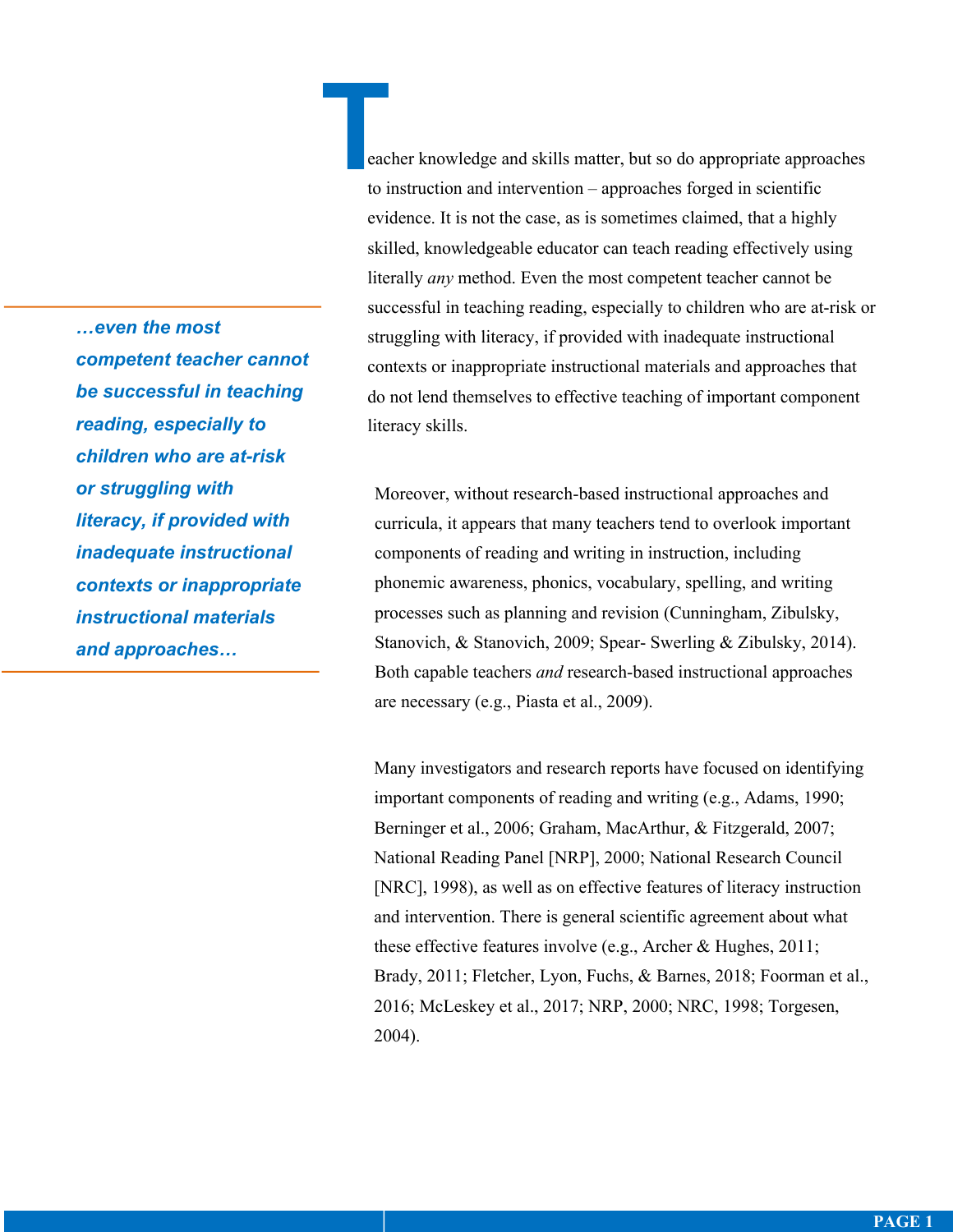**T** eacher knowledge and skills matter, but so do appropriate approaches to instruction and intervention – approaches forged in scientific evidence. It is not the case, as is sometimes claimed, that a highly skilled, knowledgeable educator can teach reading effectively using literally *any* method. Even the most competent teacher cannot be successful in teaching reading, especially to children who are at-risk or struggling with literacy, if provided with inadequate instructional contexts or inappropriate instructional materials and approaches that do not lend themselves to effective teaching of important component literacy skills.

Moreover, without research-based instructional approaches and curricula, it appears that many teachers tend to overlook important components of reading and writing in instruction, including phonemic awareness, phonics, vocabulary, spelling, and writing processes such as planning and revision (Cunningham, Zibulsky, Stanovich, & Stanovich, 2009; Spear- Swerling & Zibulsky, 2014). Both capable teachers *and* research-based instructional approaches are necessary (e.g., Piasta et al., 2009).

Many investigators and research reports have focused on identifying important components of reading and writing (e.g., Adams, 1990; Berninger et al., 2006; Graham, MacArthur, & Fitzgerald, 2007; National Reading Panel [NRP], 2000; National Research Council [NRC], 1998), as well as on effective features of literacy instruction and intervention. There is general scientific agreement about what these effective features involve (e.g., Archer & Hughes, 2011; Brady, 2011; Fletcher, Lyon, Fuchs, & Barnes, 2018; Foorman et al., 2016; McLeskey et al., 2017; NRP, 2000; NRC, 1998; Torgesen, 2004).

*…even the most competent teacher cannot be successful in teaching reading, especially to children who are at-risk or struggling with literacy, if provided with inadequate instructional contexts or inappropriate instructional materials and approaches…*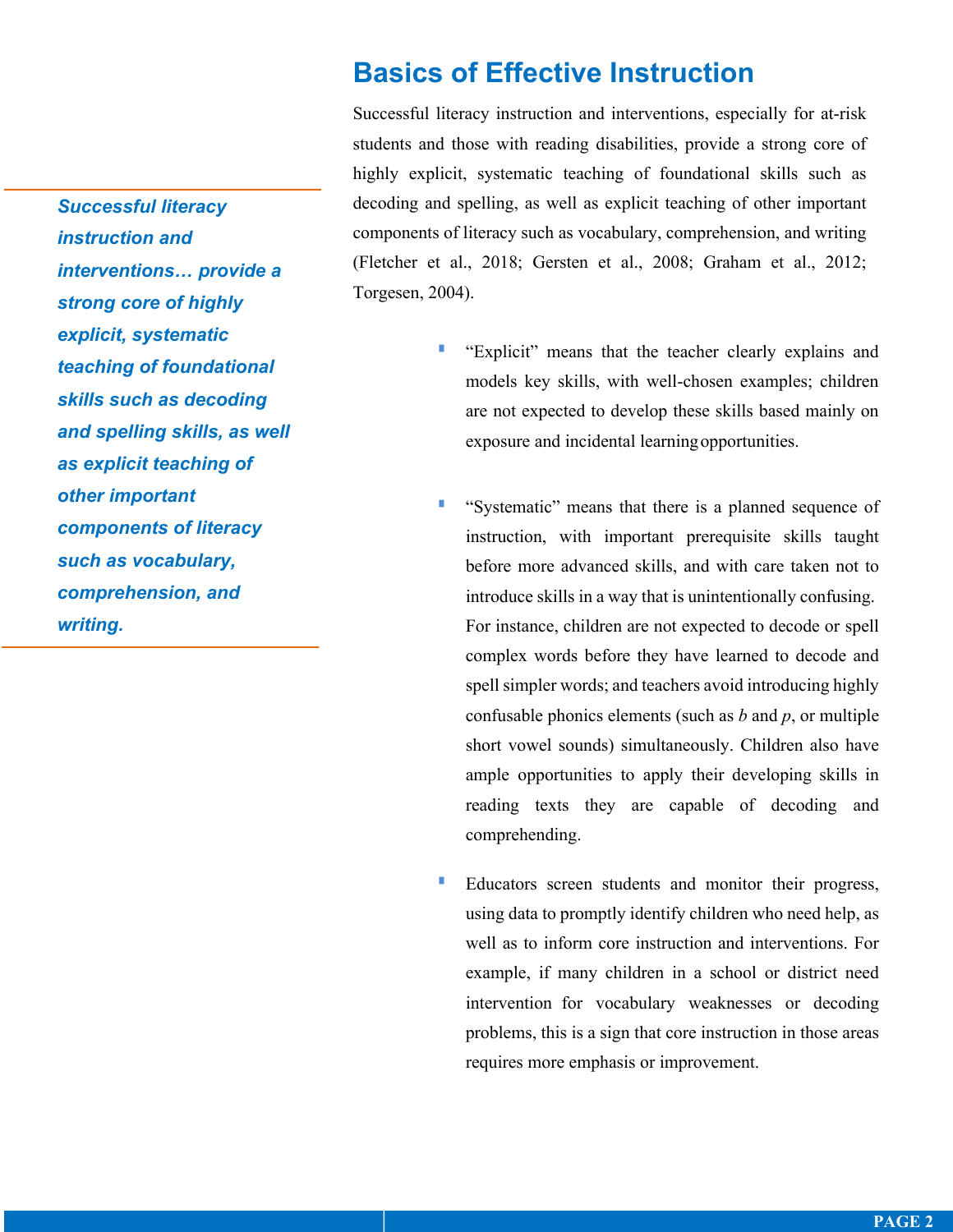*Successful literacy instruction and interventions… provide a strong core of highly explicit, systematic teaching of foundational skills such as decoding and spelling skills, as well as explicit teaching of other important components of literacy such as vocabulary, comprehension, and writing.*

## **Basics of Effective Instruction**

Successful literacy instruction and interventions, especially for at-risk students and those with reading disabilities, provide a strong core of highly explicit, systematic teaching of foundational skills such as decoding and spelling, as well as explicit teaching of other important components of literacy such as vocabulary, comprehension, and writing (Fletcher et al., 2018; Gersten et al., 2008; Graham et al., 2012; Torgesen, 2004).

- § "Explicit" means that the teacher clearly explains and models key skills, with well-chosen examples; children are not expected to develop these skills based mainly on exposure and incidental learningopportunities.
- § "Systematic" means that there is a planned sequence of instruction, with important prerequisite skills taught before more advanced skills, and with care taken not to introduce skills in a way that is unintentionally confusing. For instance, children are not expected to decode or spell complex words before they have learned to decode and spell simpler words; and teachers avoid introducing highly confusable phonics elements (such as *b* and *p*, or multiple short vowel sounds) simultaneously. Children also have ample opportunities to apply their developing skills in reading texts they are capable of decoding and comprehending.
- Educators screen students and monitor their progress, using data to promptly identify children who need help, as well as to inform core instruction and interventions. For example, if many children in a school or district need intervention for vocabulary weaknesses or decoding problems, this is a sign that core instruction in those areas requires more emphasis or improvement.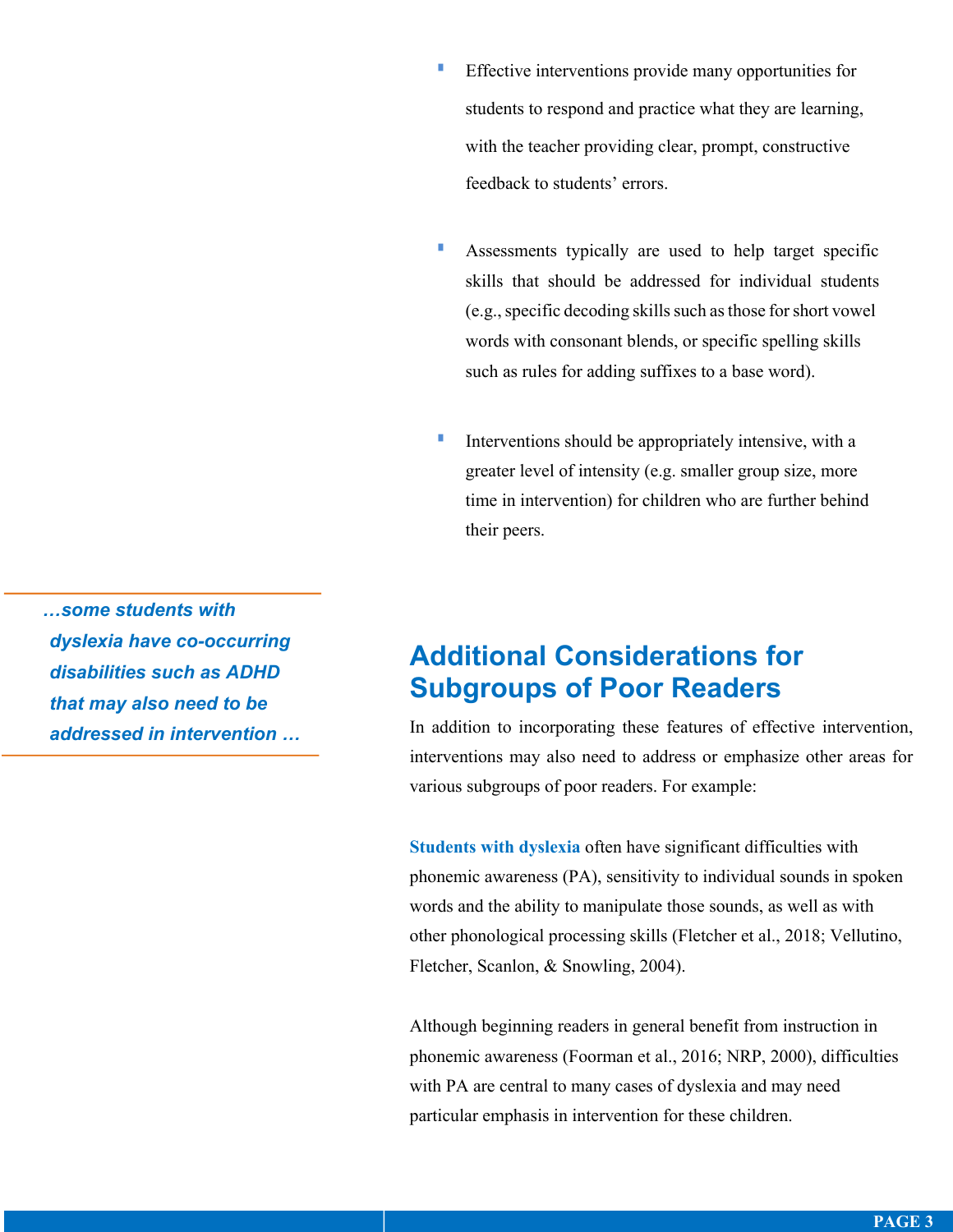- **Effective interventions provide many opportunities for** students to respond and practice what they are learning, with the teacher providing clear, prompt, constructive feedback to students' errors.
- **Assessments typically are used to help target specific** skills that should be addressed for individual students (e.g., specific decoding skills such as those for short vowel words with consonant blends, or specific spelling skills such as rules for adding suffixes to a base word).
- **IDED** Interventions should be appropriately intensive, with a greater level of intensity (e.g. smaller group size, more time in intervention) for children who are further behind their peers.

*…some students with dyslexia have co-occurring disabilities such as ADHD that may also need to be addressed in intervention …* 

## **Additional Considerations for Subgroups of Poor Readers**

In addition to incorporating these features of effective intervention, interventions may also need to address or emphasize other areas for various subgroups of poor readers. For example:

**Students with dyslexia** often have significant difficulties with phonemic awareness (PA), sensitivity to individual sounds in spoken words and the ability to manipulate those sounds, as well as with other phonological processing skills (Fletcher et al., 2018; Vellutino, Fletcher, Scanlon, & Snowling, 2004).

Although beginning readers in general benefit from instruction in phonemic awareness (Foorman et al., 2016; NRP, 2000), difficulties with PA are central to many cases of dyslexia and may need particular emphasis in intervention for these children.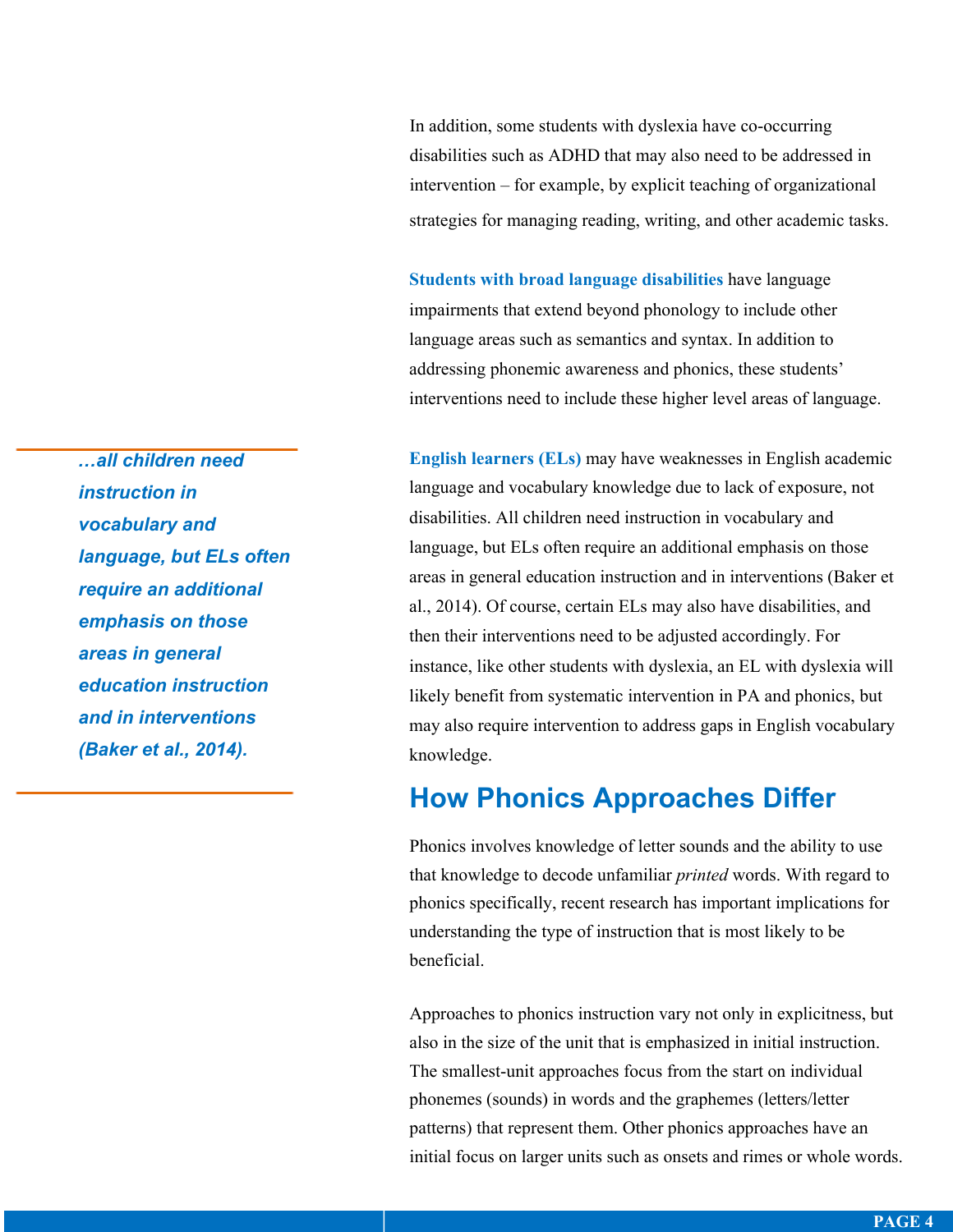In addition, some students with dyslexia have co-occurring disabilities such as ADHD that may also need to be addressed in intervention – for example, by explicit teaching of organizational strategies for managing reading, writing, and other academic tasks.

**Students with broad language disabilities** have language impairments that extend beyond phonology to include other language areas such as semantics and syntax. In addition to addressing phonemic awareness and phonics, these students' interventions need to include these higher level areas of language.

**English learners (ELs)** may have weaknesses in English academic language and vocabulary knowledge due to lack of exposure, not disabilities. All children need instruction in vocabulary and language, but ELs often require an additional emphasis on those areas in general education instruction and in interventions (Baker et al., 2014). Of course, certain ELs may also have disabilities, and then their interventions need to be adjusted accordingly. For instance, like other students with dyslexia, an EL with dyslexia will likely benefit from systematic intervention in PA and phonics, but may also require intervention to address gaps in English vocabulary knowledge.

## **How Phonics Approaches Differ**

Phonics involves knowledge of letter sounds and the ability to use that knowledge to decode unfamiliar *printed* words. With regard to phonics specifically, recent research has important implications for understanding the type of instruction that is most likely to be beneficial.

Approaches to phonics instruction vary not only in explicitness, but also in the size of the unit that is emphasized in initial instruction. The smallest-unit approaches focus from the start on individual phonemes (sounds) in words and the graphemes (letters/letter patterns) that represent them. Other phonics approaches have an initial focus on larger units such as onsets and rimes or whole words.

*…all children need instruction in vocabulary and language, but ELs often require an additional emphasis on those areas in general education instruction and in interventions (Baker et al., 2014).*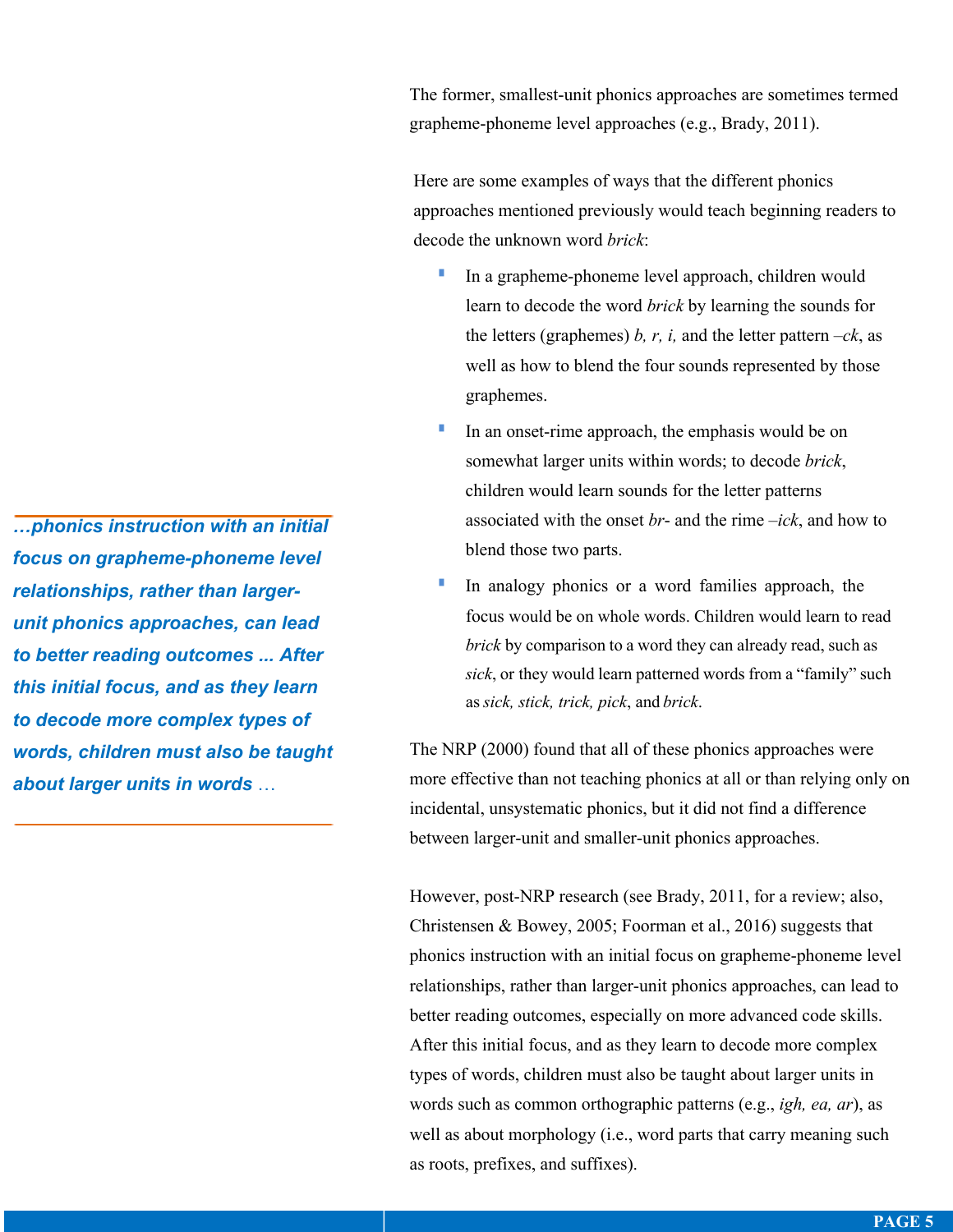The former, smallest-unit phonics approaches are sometimes termed grapheme-phoneme level approaches (e.g., Brady, 2011).

Here are some examples of ways that the different phonics approaches mentioned previously would teach beginning readers to decode the unknown word *brick*:

- In a grapheme-phoneme level approach, children would learn to decode the word *brick* by learning the sounds for the letters (graphemes) *b, r, i,* and the letter pattern  $-ck$ , as well as how to blend the four sounds represented by those graphemes.
- In an onset-rime approach, the emphasis would be on somewhat larger units within words; to decode *brick*, children would learn sounds for the letter patterns associated with the onset *br*- and the rime –*ick*, and how to blend those two parts.
- In analogy phonics or a word families approach, the focus would be on whole words. Children would learn to read *brick* by comparison to a word they can already read, such as *sick*, or they would learn patterned words from a "family" such as *sick, stick, trick, pick*, and *brick*.

The NRP (2000) found that all of these phonics approaches were more effective than not teaching phonics at all or than relying only on incidental, unsystematic phonics, but it did not find a difference between larger-unit and smaller-unit phonics approaches.

However, post-NRP research (see Brady, 2011, for a review; also, Christensen & Bowey, 2005; Foorman et al., 2016) suggests that phonics instruction with an initial focus on grapheme-phoneme level relationships, rather than larger-unit phonics approaches, can lead to better reading outcomes, especially on more advanced code skills. After this initial focus, and as they learn to decode more complex types of words, children must also be taught about larger units in words such as common orthographic patterns (e.g., *igh, ea, ar*), as well as about morphology (i.e., word parts that carry meaning such as roots, prefixes, and suffixes).

*…phonics instruction with an initial focus on grapheme-phoneme level relationships, rather than largerunit phonics approaches, can lead to better reading outcomes ... After this initial focus, and as they learn to decode more complex types of words, children must also be taught about larger units in words* …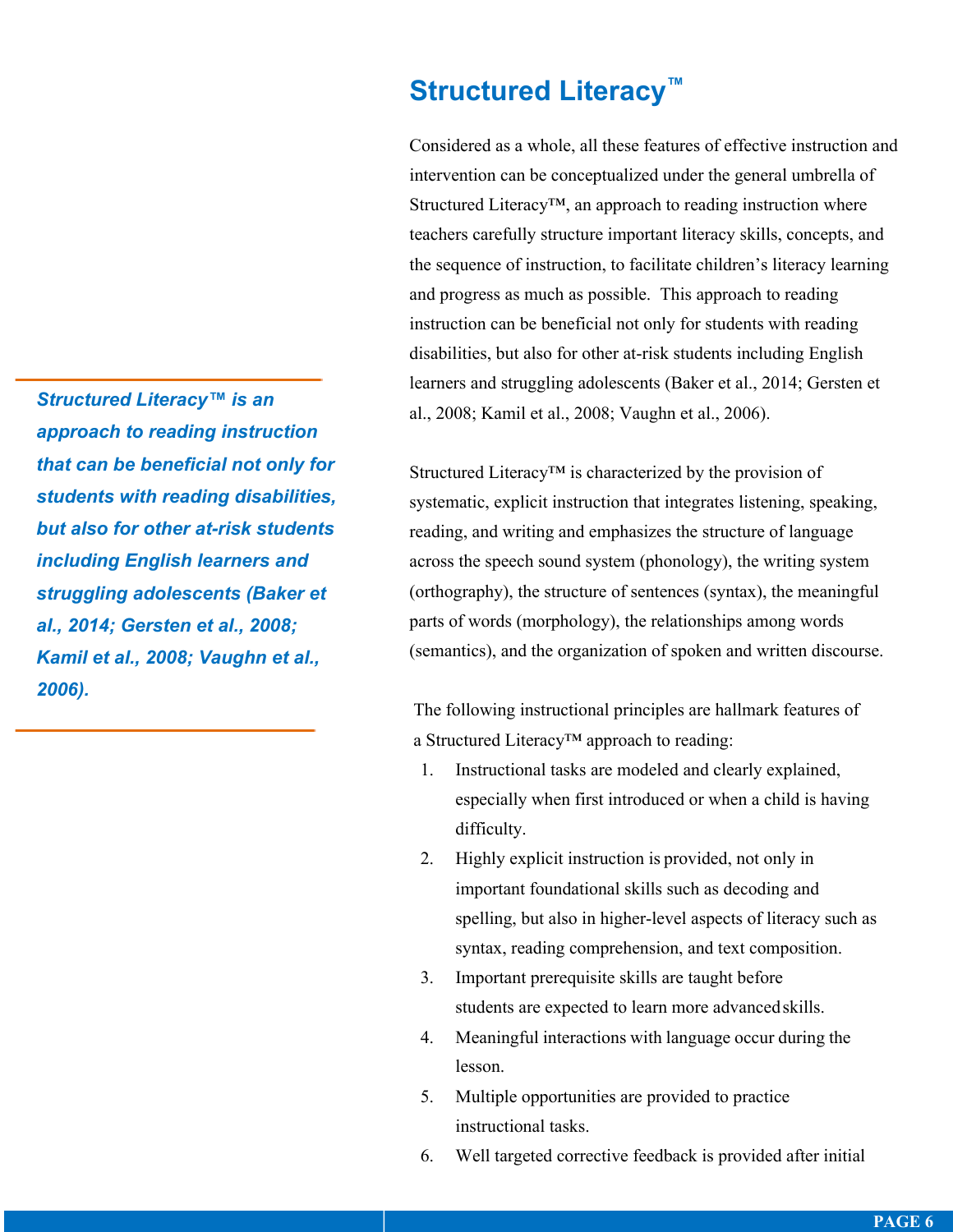**Structured Literacy™**

Considered as a whole, all these features of effective instruction and intervention can be conceptualized under the general umbrella of Structured Literacy™, an approach to reading instruction where teachers carefully structure important literacy skills, concepts, and the sequence of instruction, to facilitate children's literacy learning and progress as much as possible. This approach to reading instruction can be beneficial not only for students with reading disabilities, but also for other at-risk students including English learners and struggling adolescents (Baker et al., 2014; Gersten et al., 2008; Kamil et al., 2008; Vaughn et al., 2006).

Structured Literacy™ is characterized by the provision of systematic, explicit instruction that integrates listening, speaking, reading, and writing and emphasizes the structure of language across the speech sound system (phonology), the writing system (orthography), the structure of sentences (syntax), the meaningful parts of words (morphology), the relationships among words (semantics), and the organization of spoken and written discourse.

The following instructional principles are hallmark features of a Structured Literacy™ approach to reading:

- 1. Instructional tasks are modeled and clearly explained, especially when first introduced or when a child is having difficulty.
- 2. Highly explicit instruction is provided, not only in important foundational skills such as decoding and spelling, but also in higher-level aspects of literacy such as syntax, reading comprehension, and text composition.
- 3. Important prerequisite skills are taught before students are expected to learn more advancedskills.
- 4. Meaningful interactions with language occur during the lesson.
- 5. Multiple opportunities are provided to practice instructional tasks.
- 6. Well targeted corrective feedback is provided after initial

*Structured Literacy™ is an approach to reading instruction that can be beneficial not only for students with reading disabilities, but also for other at-risk students including English learners and struggling adolescents (Baker et al., 2014; Gersten et al., 2008; Kamil et al., 2008; Vaughn et al., 2006).*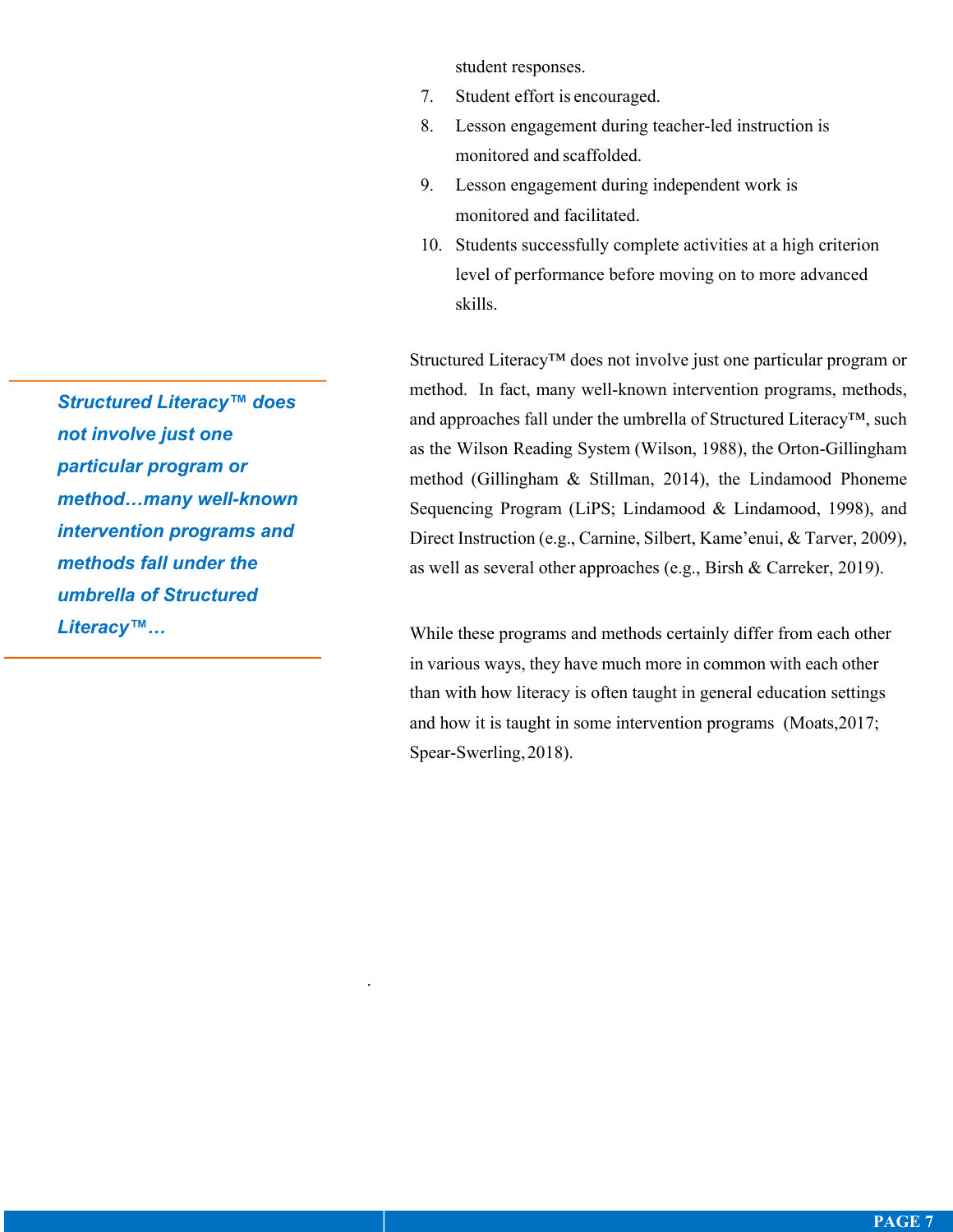student responses.

- 7. Student effort is encouraged.
- 8. Lesson engagement during teacher-led instruction is monitored and scaffolded.
- 9. Lesson engagement during independent work is monitored and facilitated.
- 10. Students successfully complete activities at a high criterion level of performance before moving on to more advanced skills.

Structured Literacy™ does not involve just one particular program or method. In fact, many well-known intervention programs, methods, and approaches fall under the umbrella of Structured Literacy™, such as the Wilson Reading System (Wilson, 1988), the Orton-Gillingham method (Gillingham & Stillman, 2014), the Lindamood Phoneme Sequencing Program (LiPS; Lindamood & Lindamood, 1998), and Direct Instruction (e.g., Carnine, Silbert, Kame'enui, & Tarver, 2009), as well as several other approaches (e.g., Birsh & Carreker, 2019).

While these programs and methods certainly differ from each other in various ways, they have much more in common with each other than with how literacy is often taught in general education settings and how it is taught in some intervention programs (Moats,2017; Spear-Swerling,2018).

*Structured Literacy™ does not involve just one particular program or method…many well-known intervention programs and methods fall under the umbrella of Structured Literacy™…*

.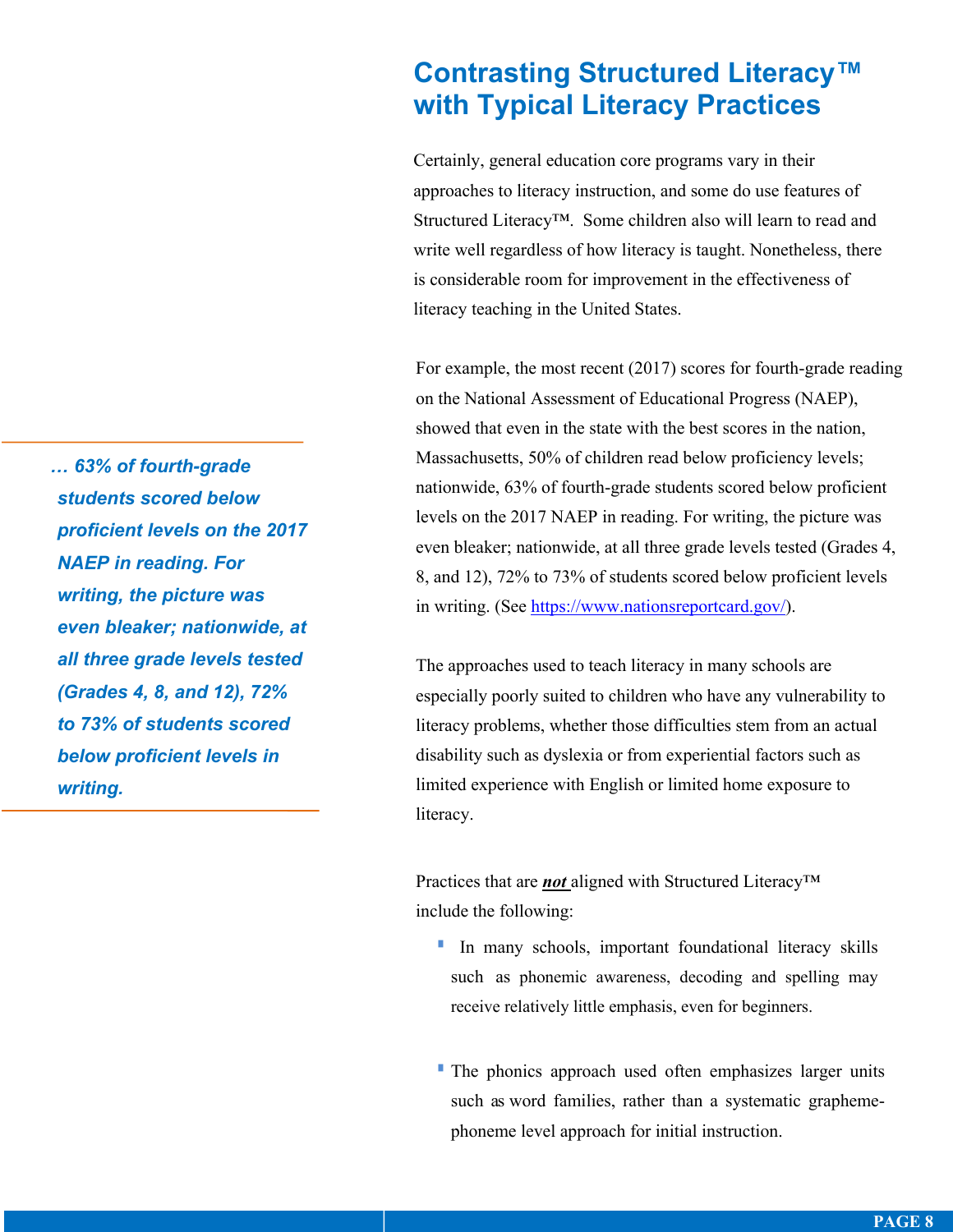## **Contrasting Structured Literacy™ with Typical Literacy Practices**

Certainly, general education core programs vary in their approaches to literacy instruction, and some do use features of Structured Literacy™. Some children also will learn to read and write well regardless of how literacy is taught. Nonetheless, there is considerable room for improvement in the effectiveness of literacy teaching in the United States.

For example, the most recent (2017) scores for fourth-grade reading on the National Assessment of Educational Progress (NAEP), showed that even in the state with the best scores in the nation, Massachusetts, 50% of children read below proficiency levels; nationwide, 63% of fourth-grade students scored below proficient levels on the 2017 NAEP in reading. For writing, the picture was even bleaker; nationwide, at all three grade levels tested (Grades 4, 8, and 12), 72% to 73% of students scored below proficient levels in writing. (See https://www.nationsreportcard.gov/).

The approaches used to teach literacy in many schools are especially poorly suited to children who have any vulnerability to literacy problems, whether those difficulties stem from an actual disability such as dyslexia or from experiential factors such as limited experience with English or limited home exposure to literacy.

Practices that are *not* aligned with Structured Literacy™ include the following:

- § In many schools, important foundational literacy skills such as phonemic awareness, decoding and spelling may receive relatively little emphasis, even for beginners.
- The phonics approach used often emphasizes larger units such as word families, rather than a systematic graphemephoneme level approach for initial instruction.

*… 63% of fourth-grade students scored below proficient levels on the 2017 NAEP in reading. For writing, the picture was even bleaker; nationwide, at all three grade levels tested (Grades 4, 8, and 12), 72% to 73% of students scored below proficient levels in writing.*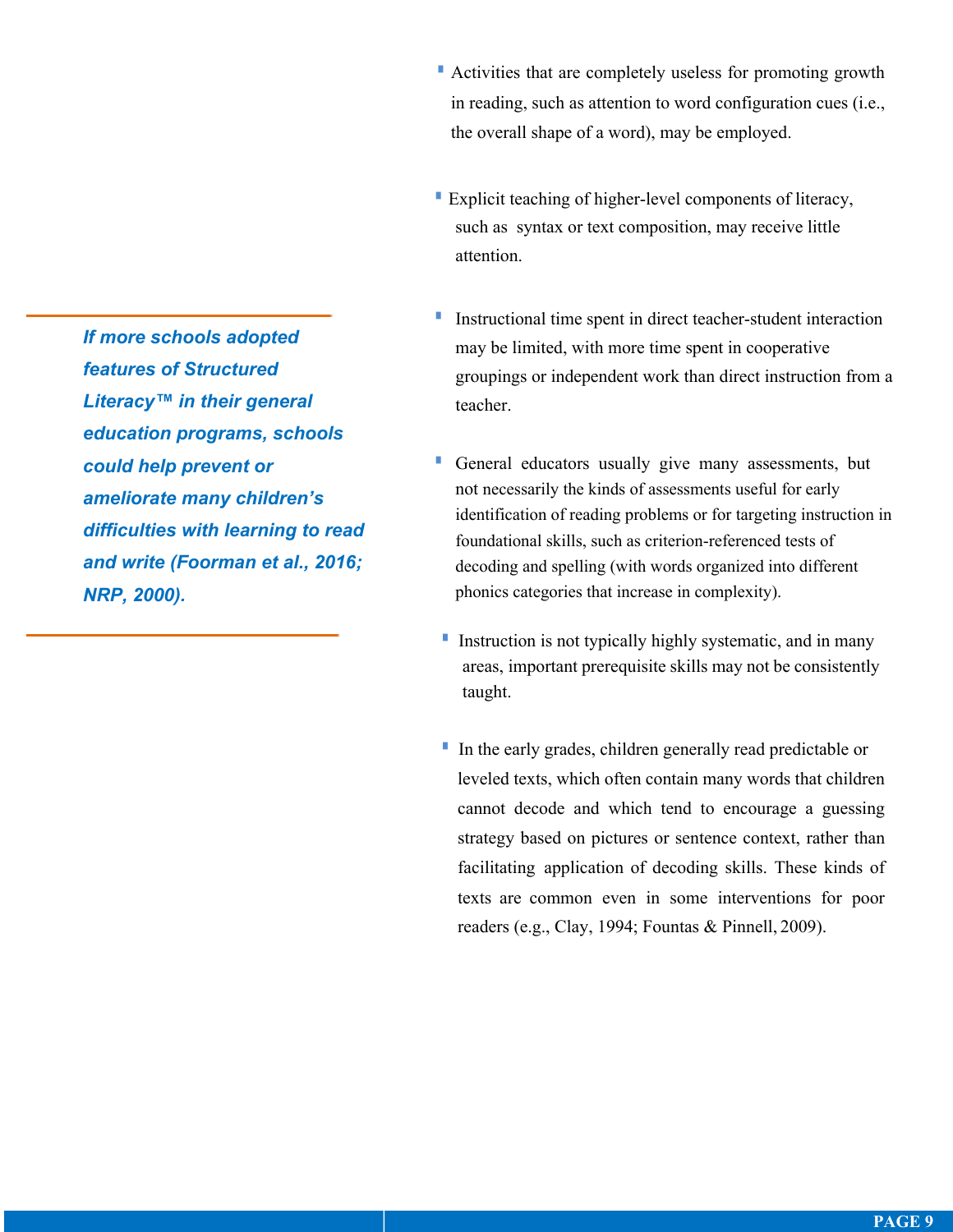- Retivities that are completely useless for promoting growth in reading, such as attention to word configuration cues (i.e., the overall shape of a word), may be employed.
- **Explicit teaching of higher-level components of literacy,** such as syntax or text composition, may receive little attention.
- Instructional time spent in direct teacher-student interaction may be limited, with more time spent in cooperative groupings or independent work than direct instruction from a teacher.
- General educators usually give many assessments, but not necessarily the kinds of assessments useful for early identification of reading problems or for targeting instruction in foundational skills, such as criterion-referenced tests of decoding and spelling (with words organized into different phonics categories that increase in complexity).
- **I** Instruction is not typically highly systematic, and in many areas, important prerequisite skills may not be consistently taught.
- In the early grades, children generally read predictable or leveled texts, which often contain many words that children cannot decode and which tend to encourage a guessing strategy based on pictures or sentence context, rather than facilitating application of decoding skills. These kinds of texts are common even in some interventions for poor readers (e.g., Clay, 1994; Fountas & Pinnell, 2009).

*If more schools adopted features of Structured Literacy™ in their general education programs, schools could help prevent or ameliorate many children's difficulties with learning to read and write (Foorman et al., 2016; NRP, 2000).*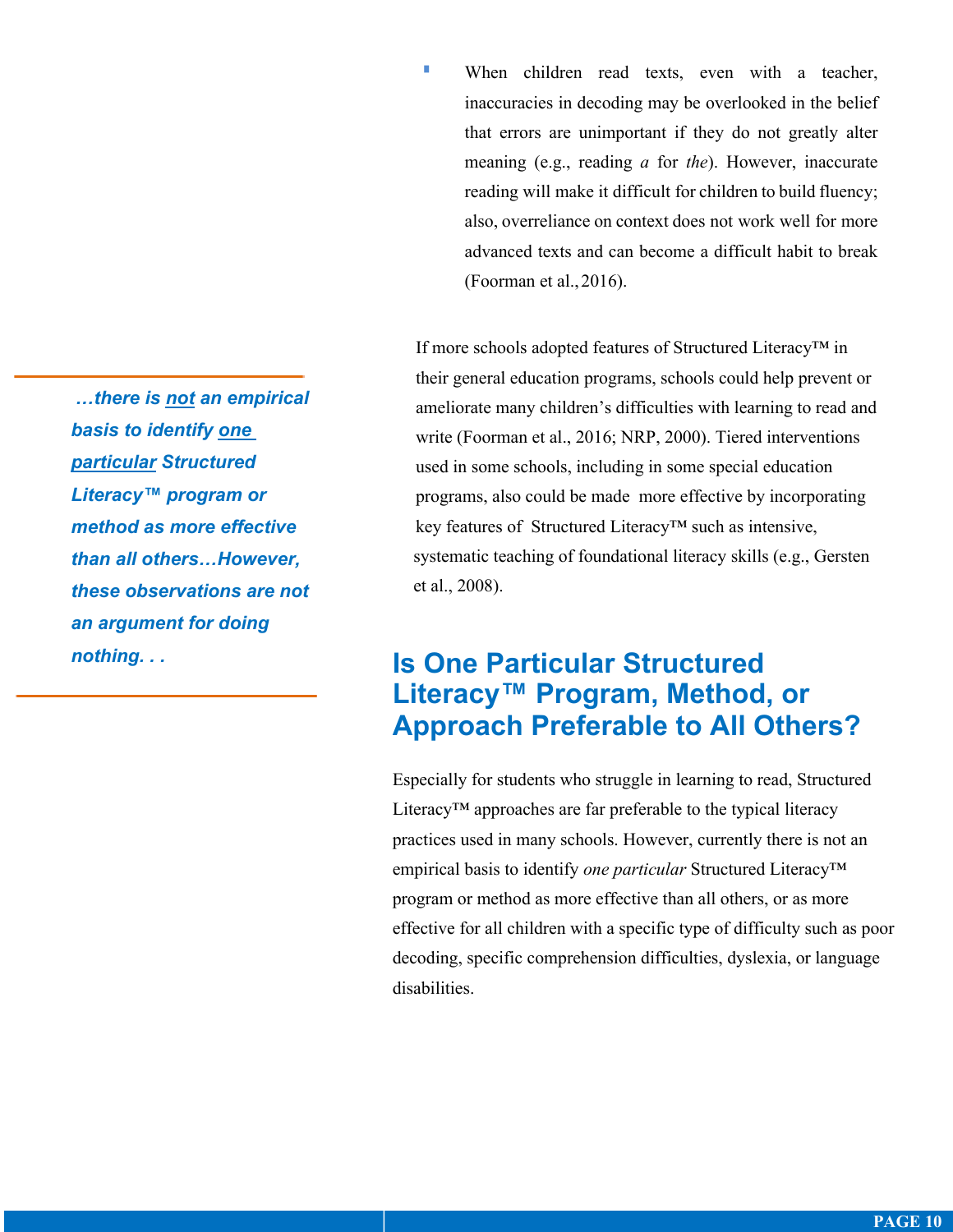When children read texts, even with a teacher, inaccuracies in decoding may be overlooked in the belief that errors are unimportant if they do not greatly alter meaning (e.g., reading *a* for *the*). However, inaccurate reading will make it difficult for children to build fluency; also, overreliance on context does not work well for more advanced texts and can become a difficult habit to break (Foorman et al.,2016).

If more schools adopted features of Structured Literacy™ in their general education programs, schools could help prevent or ameliorate many children's difficulties with learning to read and write (Foorman et al., 2016; NRP, 2000). Tiered interventions used in some schools, including in some special education programs, also could be made more effective by incorporating key features of Structured Literacy™ such as intensive, systematic teaching of foundational literacy skills (e.g., Gersten et al., 2008).

## **Is One Particular Structured Literacy™ Program, Method, or Approach Preferable to All Others?**

Especially for students who struggle in learning to read, Structured Literacy™ approaches are far preferable to the typical literacy practices used in many schools. However, currently there is not an empirical basis to identify *one particular* Structured Literacy™ program or method as more effective than all others, or as more effective for all children with a specific type of difficulty such as poor decoding, specific comprehension difficulties, dyslexia, or language disabilities.

*…there is not an empirical basis to identify one particular Structured Literacy™ program or method as more effective than all others…However, these observations are not an argument for doing nothing. . .*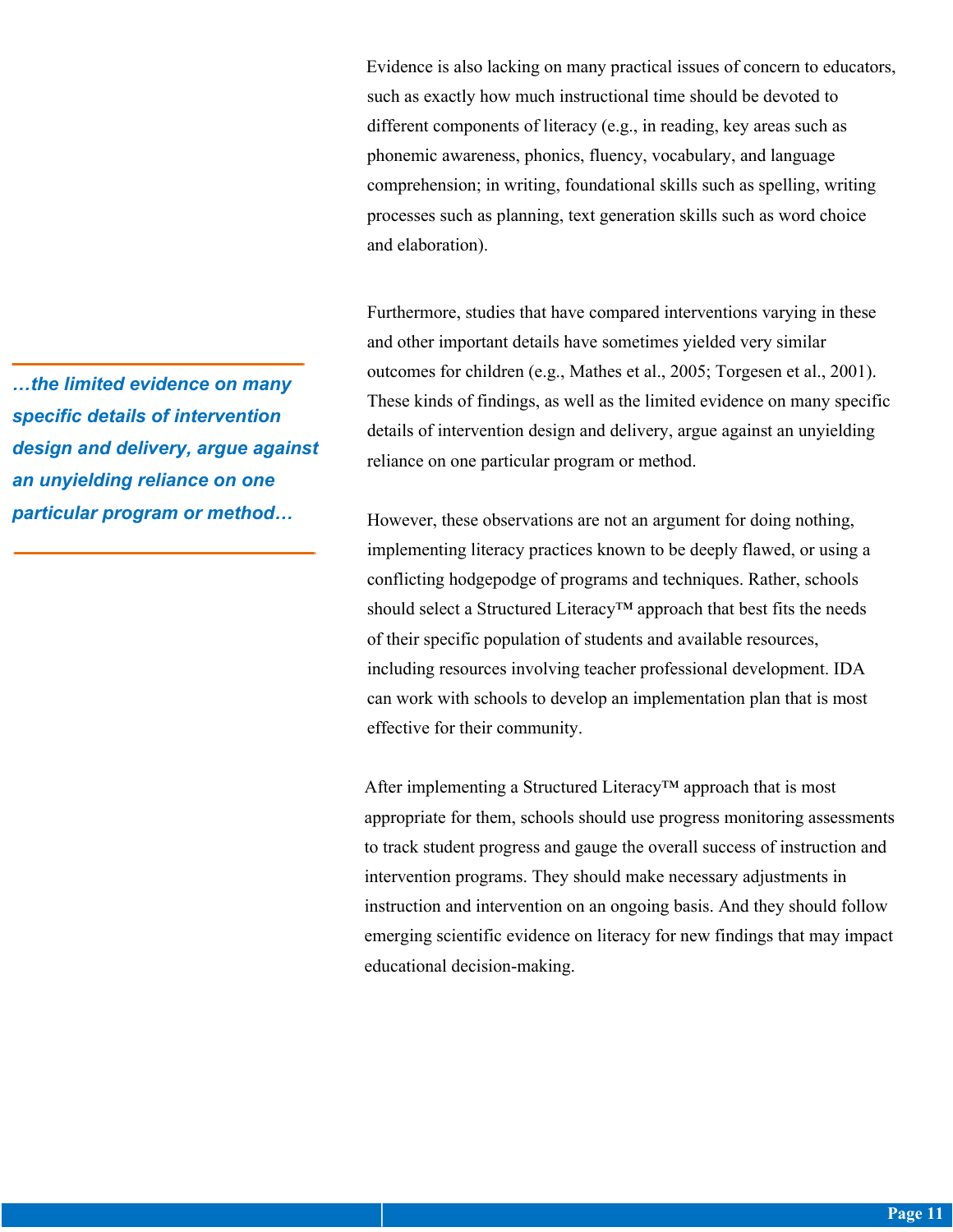Evidence is also lacking on many practical issues of concern to educators, such as exactly how much instructional time should be devoted to different components of literacy (e.g., in reading, key areas such as phonemic awareness, phonics, fluency, vocabulary, and language comprehension; in writing, foundational skills such as spelling, writing processes such as planning, text generation skills such as word choice and elaboration).

Furthermore, studies that have compared interventions varying in these and other important details have sometimes yielded very similar outcomes for children (e.g., Mathes et al., 2005; Torgesen et al., 2001). These kinds of findings, as well as the limited evidence on many specific details of intervention design and delivery, argue against an unyielding reliance on one particular program or method.

However, these observations are not an argument for doing nothing, implementing literacy practices known to be deeply flawed, or using a conflicting hodgepodge of programs and techniques. Rather, schools should select a Structured Literacy™ approach that best fits the needs of their specific population of students and available resources, including resources involving teacher professional development. IDA can work with schools to develop an implementation plan that is most effective for their community.

After implementing a Structured Literacy<sup>™</sup> approach that is most appropriate for them, schools should use progress monitoring assessments to track student progress and gauge the overall success of instruction and intervention programs. They should make necessary adjustments in instruction and intervention on an ongoing basis. And they should follow emerging scientific evidence on literacy for new findings that may impact educational decision-making.

*…the limited evidence on many specific details of intervention design and delivery, argue against an unyielding reliance on one particular program or method…*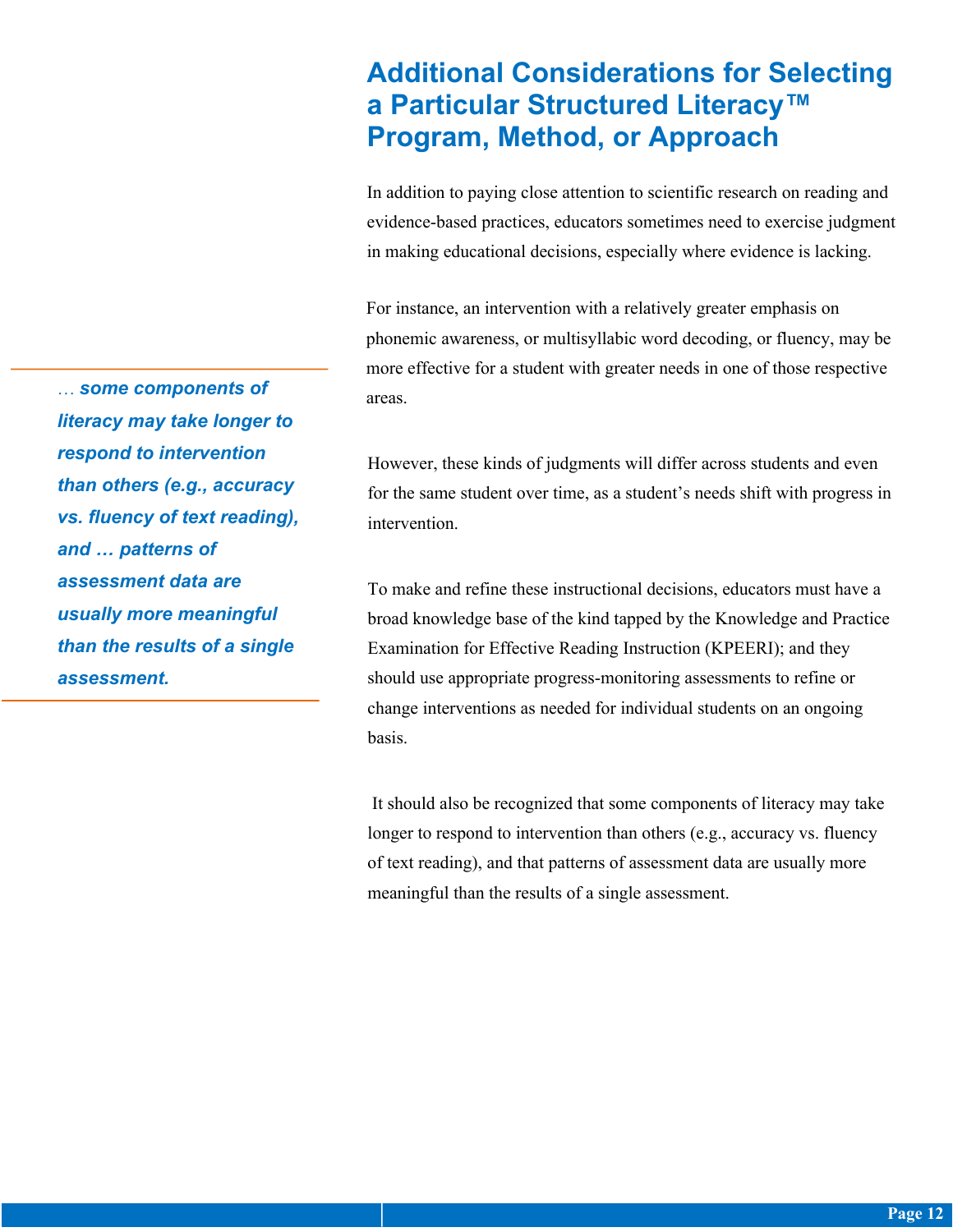## **Additional Considerations for Selecting a Particular Structured Literacy™ Program, Method, or Approach**

In addition to paying close attention to scientific research on reading and evidence-based practices, educators sometimes need to exercise judgment in making educational decisions, especially where evidence is lacking.

For instance, an intervention with a relatively greater emphasis on phonemic awareness, or multisyllabic word decoding, or fluency, may be more effective for a student with greater needs in one of those respective areas.

However, these kinds of judgments will differ across students and even for the same student over time, as a student's needs shift with progress in intervention.

To make and refine these instructional decisions, educators must have a broad knowledge base of the kind tapped by the Knowledge and Practice Examination for Effective Reading Instruction (KPEERI); and they should use appropriate progress-monitoring assessments to refine or change interventions as needed for individual students on an ongoing basis.

It should also be recognized that some components of literacy may take longer to respond to intervention than others (e.g., accuracy vs. fluency of text reading), and that patterns of assessment data are usually more meaningful than the results of a single assessment.

… *some components of literacy may take longer to respond to intervention than others (e.g., accuracy vs. fluency of text reading), and … patterns of assessment data are usually more meaningful than the results of a single assessment.*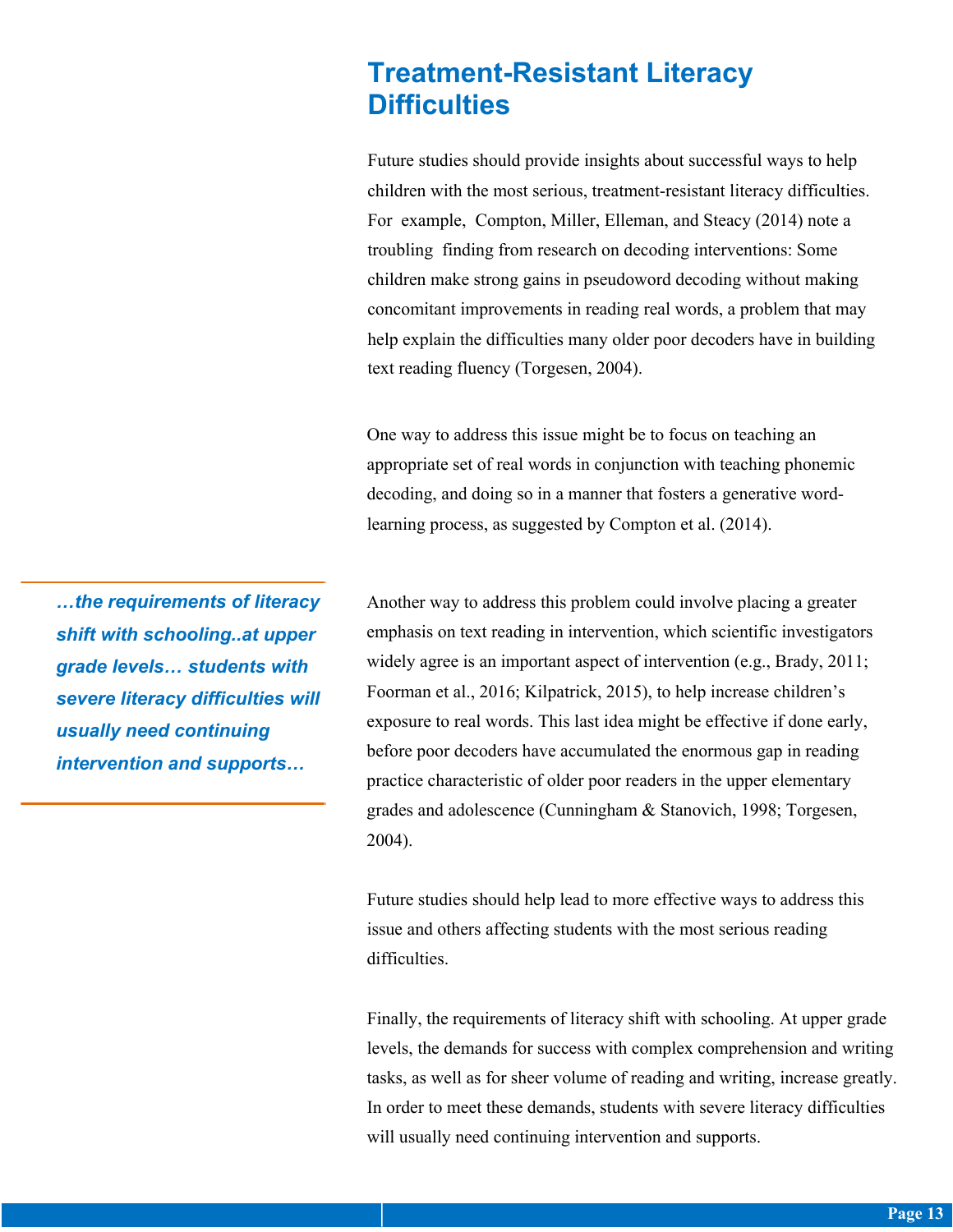## **Treatment-Resistant Literacy Difficulties**

Future studies should provide insights about successful ways to help children with the most serious, treatment-resistant literacy difficulties. For example, Compton, Miller, Elleman, and Steacy (2014) note a troubling finding from research on decoding interventions: Some children make strong gains in pseudoword decoding without making concomitant improvements in reading real words, a problem that may help explain the difficulties many older poor decoders have in building text reading fluency (Torgesen, 2004).

One way to address this issue might be to focus on teaching an appropriate set of real words in conjunction with teaching phonemic decoding, and doing so in a manner that fosters a generative wordlearning process, as suggested by Compton et al. (2014).

*…the requirements of literacy shift with schooling..at upper grade levels… students with severe literacy difficulties will usually need continuing intervention and supports…*

Another way to address this problem could involve placing a greater emphasis on text reading in intervention, which scientific investigators widely agree is an important aspect of intervention (e.g., Brady, 2011; Foorman et al., 2016; Kilpatrick, 2015), to help increase children's exposure to real words. This last idea might be effective if done early, before poor decoders have accumulated the enormous gap in reading practice characteristic of older poor readers in the upper elementary grades and adolescence (Cunningham & Stanovich, 1998; Torgesen, 2004).

Future studies should help lead to more effective ways to address this issue and others affecting students with the most serious reading difficulties.

Finally, the requirements of literacy shift with schooling. At upper grade levels, the demands for success with complex comprehension and writing tasks, as well as for sheer volume of reading and writing, increase greatly. In order to meet these demands, students with severe literacy difficulties will usually need continuing intervention and supports.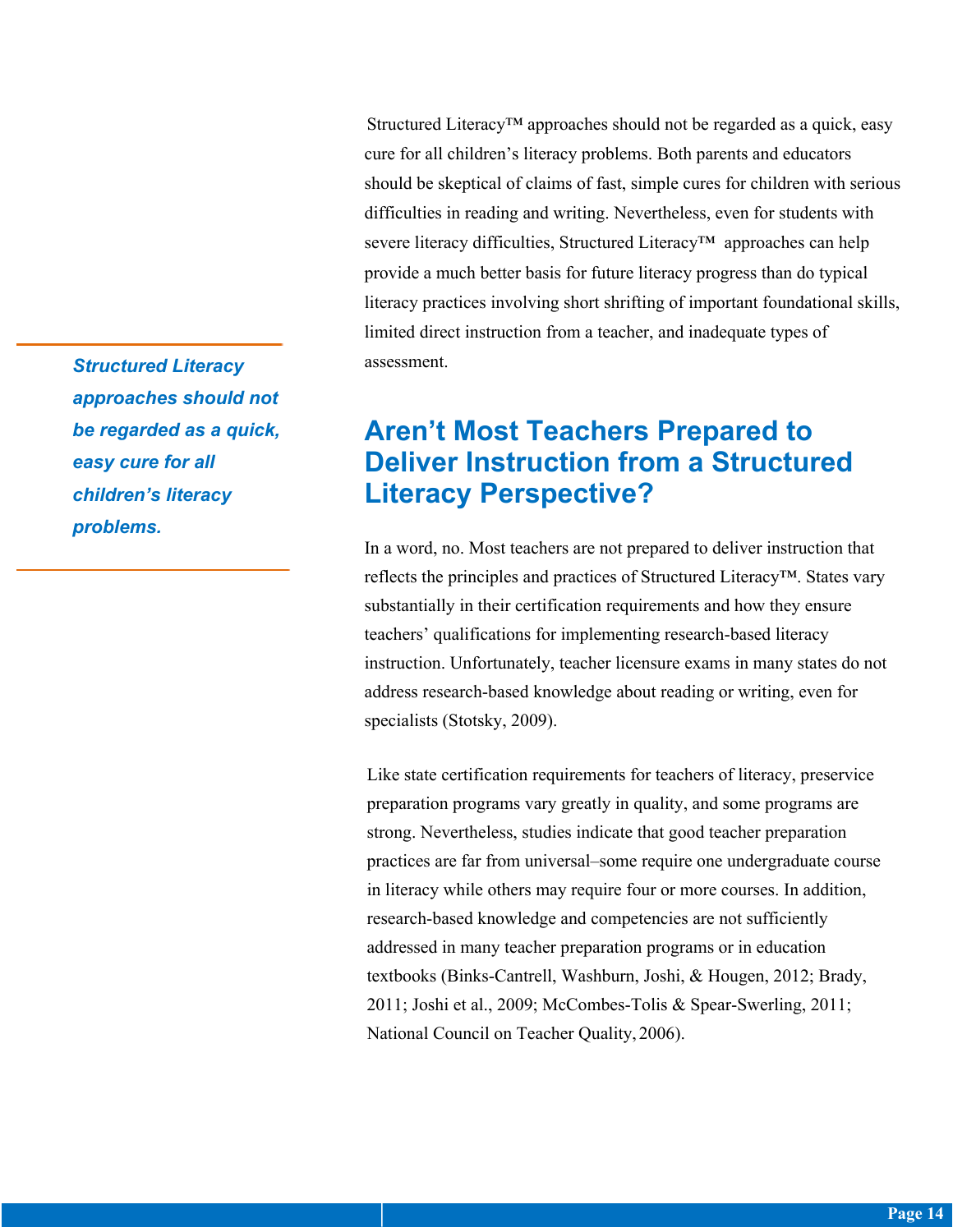Structured Literacy™ approaches should not be regarded as a quick, easy cure for all children's literacy problems. Both parents and educators should be skeptical of claims of fast, simple cures for children with serious difficulties in reading and writing. Nevertheless, even for students with severe literacy difficulties, Structured Literacy™ approaches can help provide a much better basis for future literacy progress than do typical literacy practices involving short shrifting of important foundational skills, limited direct instruction from a teacher, and inadequate types of assessment.

## **Aren't Most Teachers Prepared to Deliver Instruction from a Structured Literacy Perspective?**

In a word, no. Most teachers are not prepared to deliver instruction that reflects the principles and practices of Structured Literacy™. States vary substantially in their certification requirements and how they ensure teachers' qualifications for implementing research-based literacy instruction. Unfortunately, teacher licensure exams in many states do not address research-based knowledge about reading or writing, even for specialists (Stotsky, 2009).

Like state certification requirements for teachers of literacy, preservice preparation programs vary greatly in quality, and some programs are strong. Nevertheless, studies indicate that good teacher preparation practices are far from universal–some require one undergraduate course in literacy while others may require four or more courses. In addition, research-based knowledge and competencies are not sufficiently addressed in many teacher preparation programs or in education textbooks (Binks-Cantrell, Washburn, Joshi, & Hougen, 2012; Brady, 2011; Joshi et al., 2009; McCombes-Tolis & Spear-Swerling, 2011; National Council on Teacher Quality, 2006).

*Structured Literacy approaches should not be regarded as a quick, easy cure for all children's literacy problems.*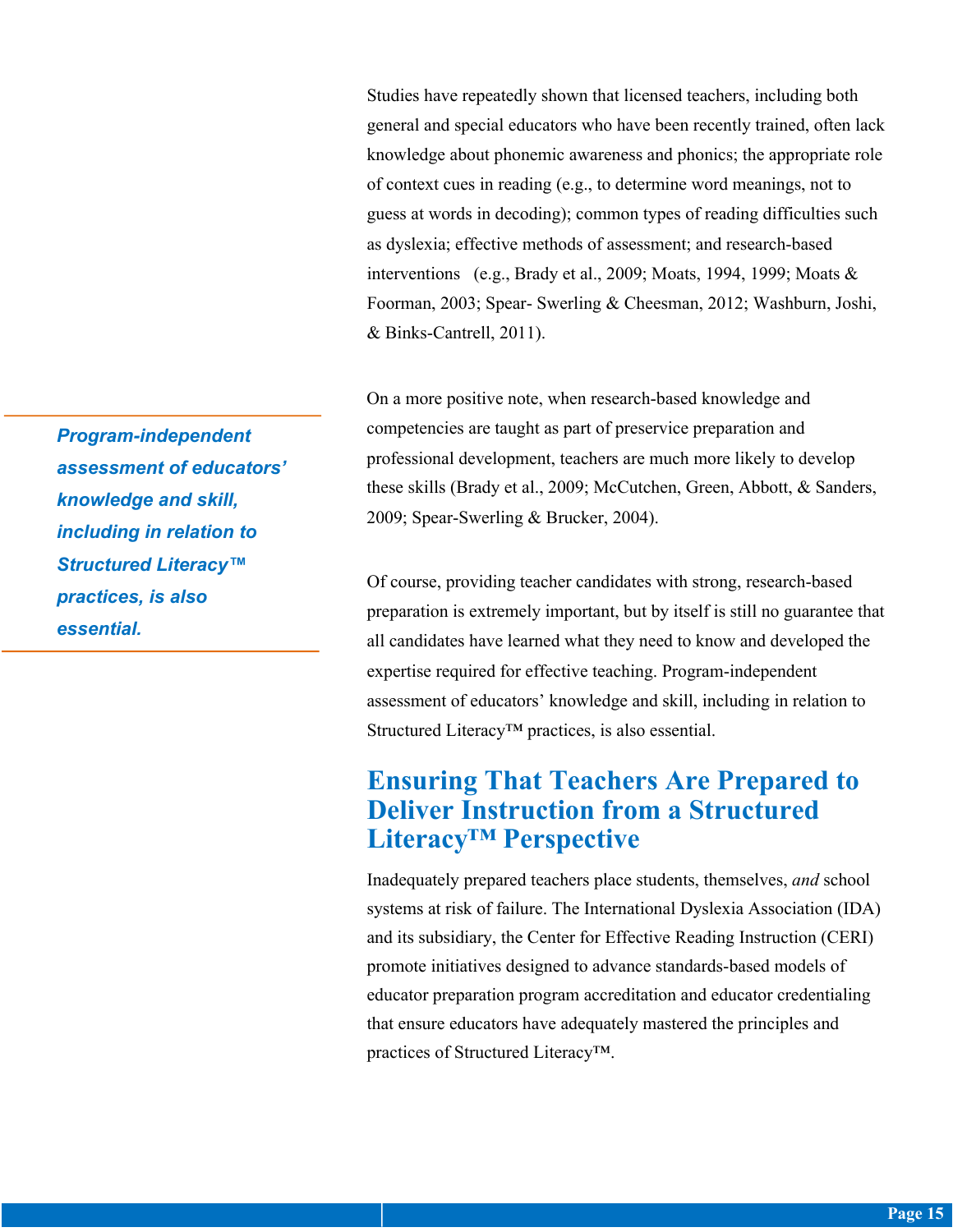Studies have repeatedly shown that licensed teachers, including both general and special educators who have been recently trained, often lack knowledge about phonemic awareness and phonics; the appropriate role of context cues in reading (e.g., to determine word meanings, not to guess at words in decoding); common types of reading difficulties such as dyslexia; effective methods of assessment; and research-based interventions (e.g., Brady et al., 2009; Moats, 1994, 1999; Moats & Foorman, 2003; Spear- Swerling & Cheesman, 2012; Washburn, Joshi, & Binks-Cantrell, 2011).

On a more positive note, when research-based knowledge and competencies are taught as part of preservice preparation and professional development, teachers are much more likely to develop these skills (Brady et al., 2009; McCutchen, Green, Abbott, & Sanders, 2009; Spear-Swerling & Brucker, 2004).

Of course, providing teacher candidates with strong, research-based preparation is extremely important, but by itself is still no guarantee that all candidates have learned what they need to know and developed the expertise required for effective teaching. Program-independent assessment of educators' knowledge and skill, including in relation to Structured Literacy™ practices, is also essential.

## **Ensuring That Teachers Are Prepared to Deliver Instruction from a Structured Literacy™ Perspective**

Inadequately prepared teachers place students, themselves, *and* school systems at risk of failure. The International Dyslexia Association (IDA) and its subsidiary, the Center for Effective Reading Instruction (CERI) promote initiatives designed to advance standards-based models of educator preparation program accreditation and educator credentialing that ensure educators have adequately mastered the principles and practices of Structured Literacy™.

*Program-independent assessment of educators' knowledge and skill, including in relation to Structured Literacy™ practices, is also essential.*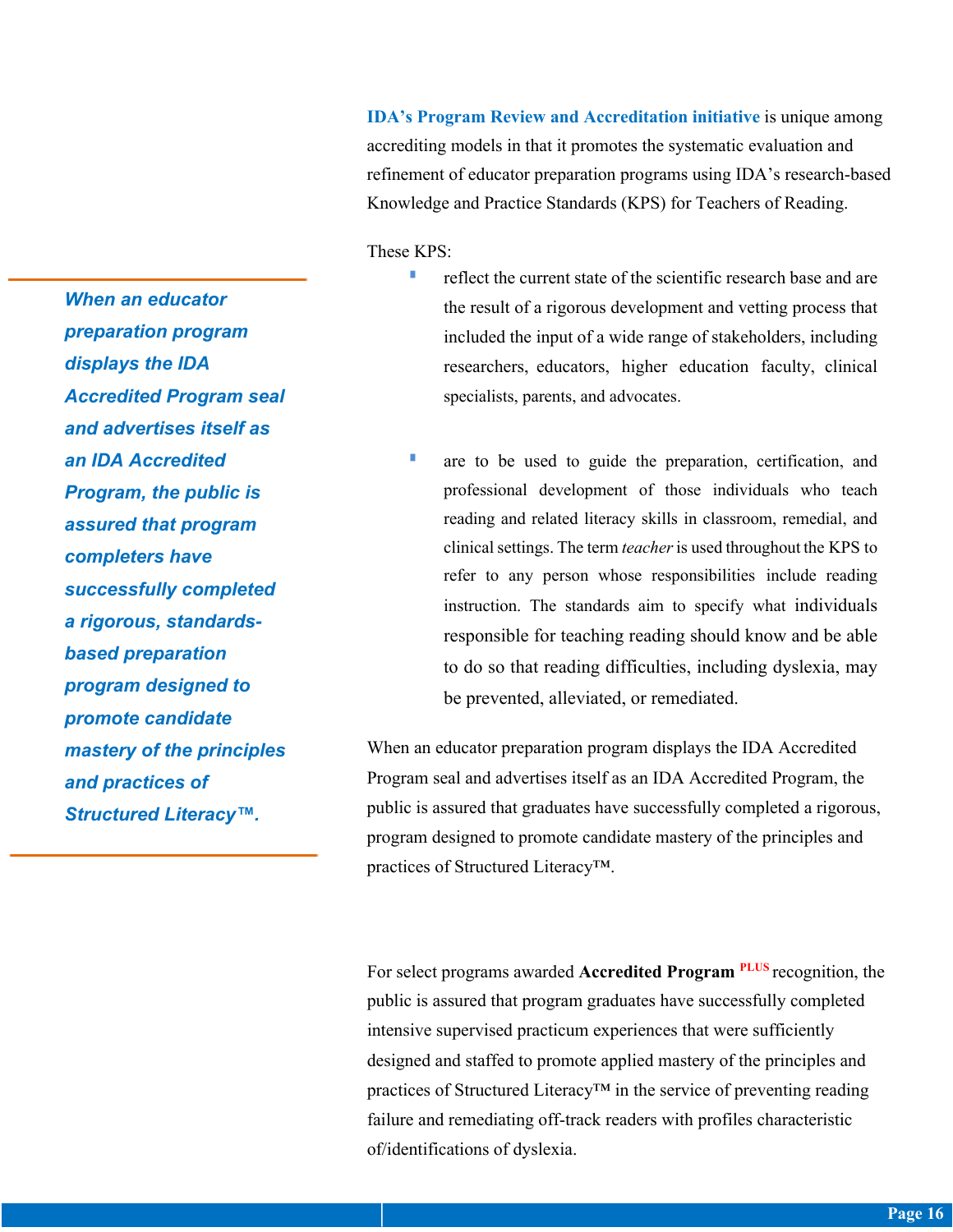**IDA's Program Review and Accreditation initiative** is unique among accrediting models in that it promotes the systematic evaluation and refinement of educator preparation programs using IDA's research-based Knowledge and Practice Standards (KPS) for Teachers of Reading.

These KPS:

- $\blacksquare$  reflect the current state of the scientific research base and are the result of a rigorous development and vetting process that included the input of a wide range of stakeholders, including researchers, educators, higher education faculty, clinical specialists, parents, and advocates.
- **•** are to be used to guide the preparation, certification, and professional development of those individuals who teach reading and related literacy skills in classroom, remedial, and clinical settings. The term *teacher* is used throughout the KPS to refer to any person whose responsibilities include reading instruction. The standards aim to specify what individuals responsible for teaching reading should know and be able to do so that reading difficulties, including dyslexia, may be prevented, alleviated, or remediated.

When an educator preparation program displays the IDA Accredited Program seal and advertises itself as an IDA Accredited Program, the public is assured that graduates have successfully completed a rigorous, program designed to promote candidate mastery of the principles and practices of Structured Literacy™.

For select programs awarded **Accredited Program PLUS** recognition, the public is assured that program graduates have successfully completed intensive supervised practicum experiences that were sufficiently designed and staffed to promote applied mastery of the principles and practices of Structured Literacy™ in the service of preventing reading failure and remediating off-track readers with profiles characteristic of/identifications of dyslexia.

*When an educator preparation program displays the IDA Accredited Program seal and advertises itself as an IDA Accredited Program, the public is assured that program completers have successfully completed a rigorous, standardsbased preparation program designed to promote candidate mastery of the principles and practices of Structured Literacy™.*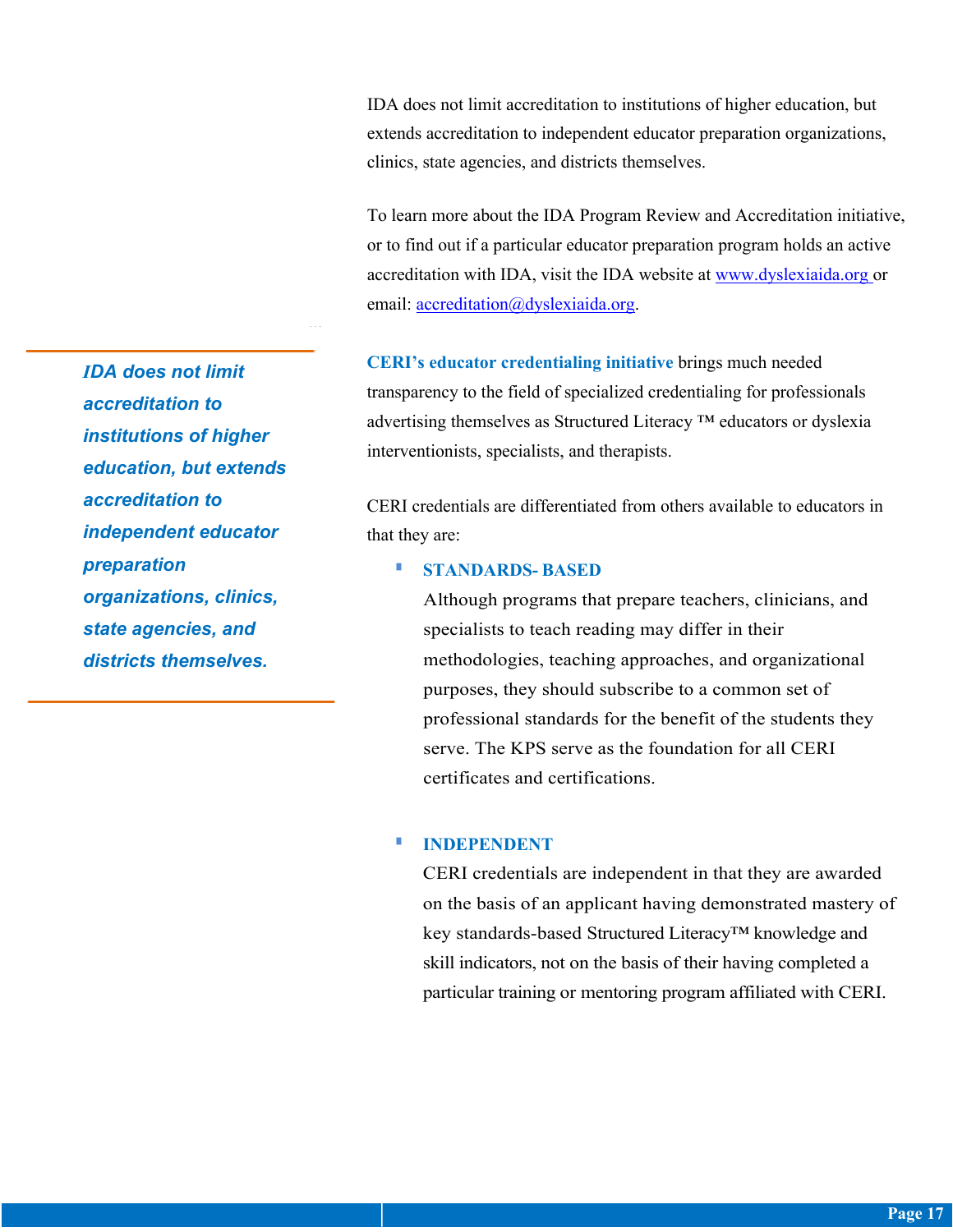IDA does not limit accreditation to institutions of higher education, but extends accreditation to independent educator preparation organizations, clinics, state agencies, and districts themselves.

To learn more about the IDA Program Review and Accreditation initiative, or to find out if a particular educator preparation program holds an active accreditation with IDA, visit the IDA website at www.dyslexiaida.org or email: accreditation@dyslexiaida.org.

**CERI's educator credentialing initiative** brings much needed transparency to the field of specialized credentialing for professionals advertising themselves as Structured Literacy ™ educators or dyslexia interventionists, specialists, and therapists.

CERI credentials are differentiated from others available to educators in that they are:

#### § **STANDARDS- BASED**

Although programs that prepare teachers, clinicians, and specialists to teach reading may differ in their methodologies, teaching approaches, and organizational purposes, they should subscribe to a common set of professional standards for the benefit of the students they serve. The KPS serve as the foundation for all CERI certificates and certifications.

#### § **INDEPENDENT**

CERI credentials are independent in that they are awarded on the basis of an applicant having demonstrated mastery of key standards-based Structured Literacy™ knowledge and skill indicators, not on the basis of their having completed a particular training or mentoring program affiliated with CERI.

*IDA does not limit accreditation to institutions of higher education, but extends accreditation to independent educator preparation organizations, clinics, state agencies, and districts themselves.*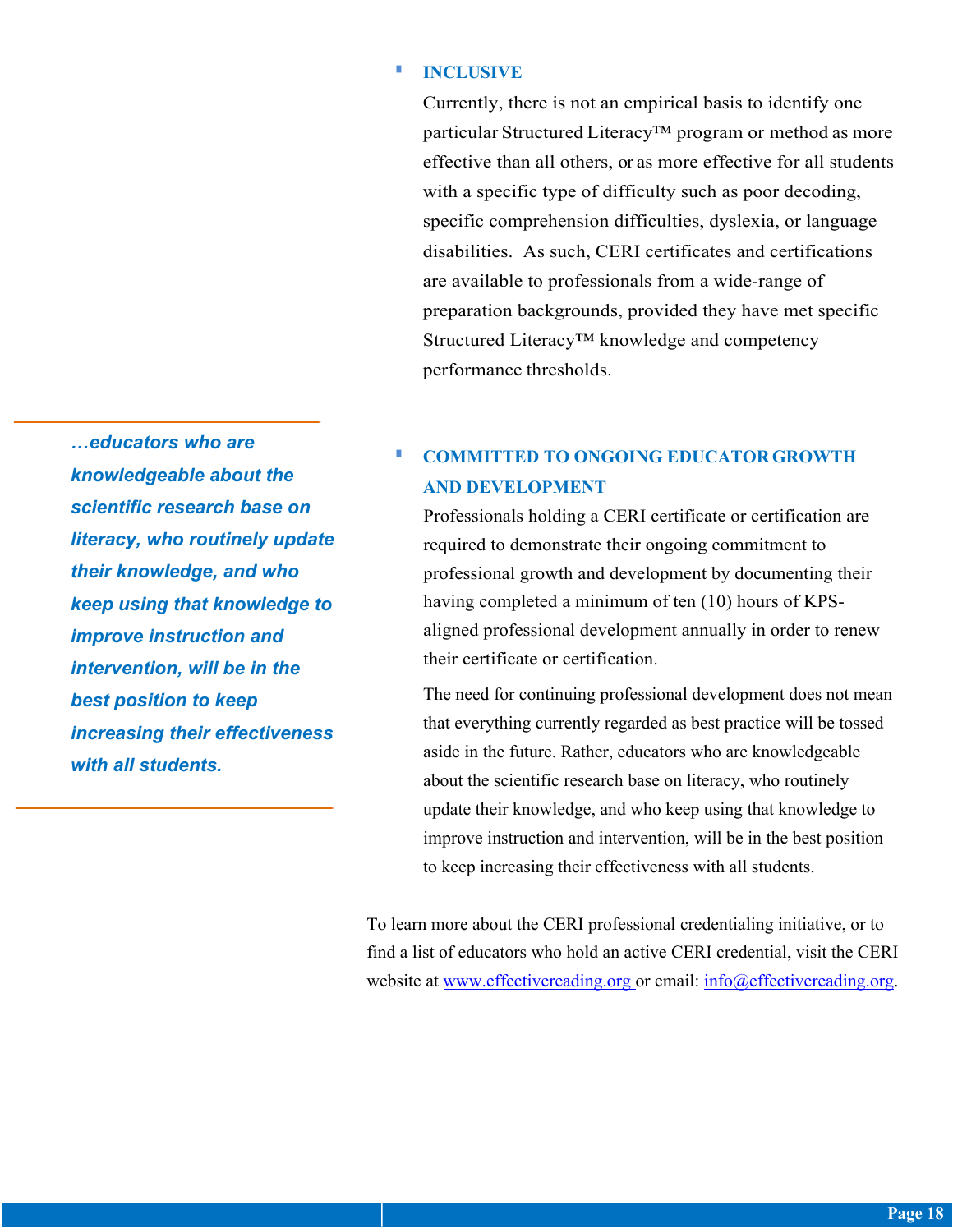#### § **INCLUSIVE**

Currently, there is not an empirical basis to identify one particular Structured Literacy<sup>™</sup> program or method as more effective than all others, or as more effective for all students with a specific type of difficulty such as poor decoding, specific comprehension difficulties, dyslexia, or language disabilities. As such, CERI certificates and certifications are available to professionals from a wide-range of preparation backgrounds, provided they have met specific Structured Literacy™ knowledge and competency performance thresholds.

*…educators who are knowledgeable about the scientific research base on literacy, who routinely update their knowledge, and who keep using that knowledge to improve instruction and intervention, will be in the best position to keep increasing their effectiveness with all students.*

### § **COMMITTED TO ONGOING EDUCATORGROWTH AND DEVELOPMENT**

Professionals holding a CERI certificate or certification are required to demonstrate their ongoing commitment to professional growth and development by documenting their having completed a minimum of ten (10) hours of KPSaligned professional development annually in order to renew their certificate or certification.

The need for continuing professional development does not mean that everything currently regarded as best practice will be tossed aside in the future. Rather, educators who are knowledgeable about the scientific research base on literacy, who routinely update their knowledge, and who keep using that knowledge to improve instruction and intervention, will be in the best position to keep increasing their effectiveness with all students.

To learn more about the CERI professional credentialing initiative, or to find a list of educators who hold an active CERI credential, visit the CERI website at www.effectivereading.org or email: info@effectivereading.org.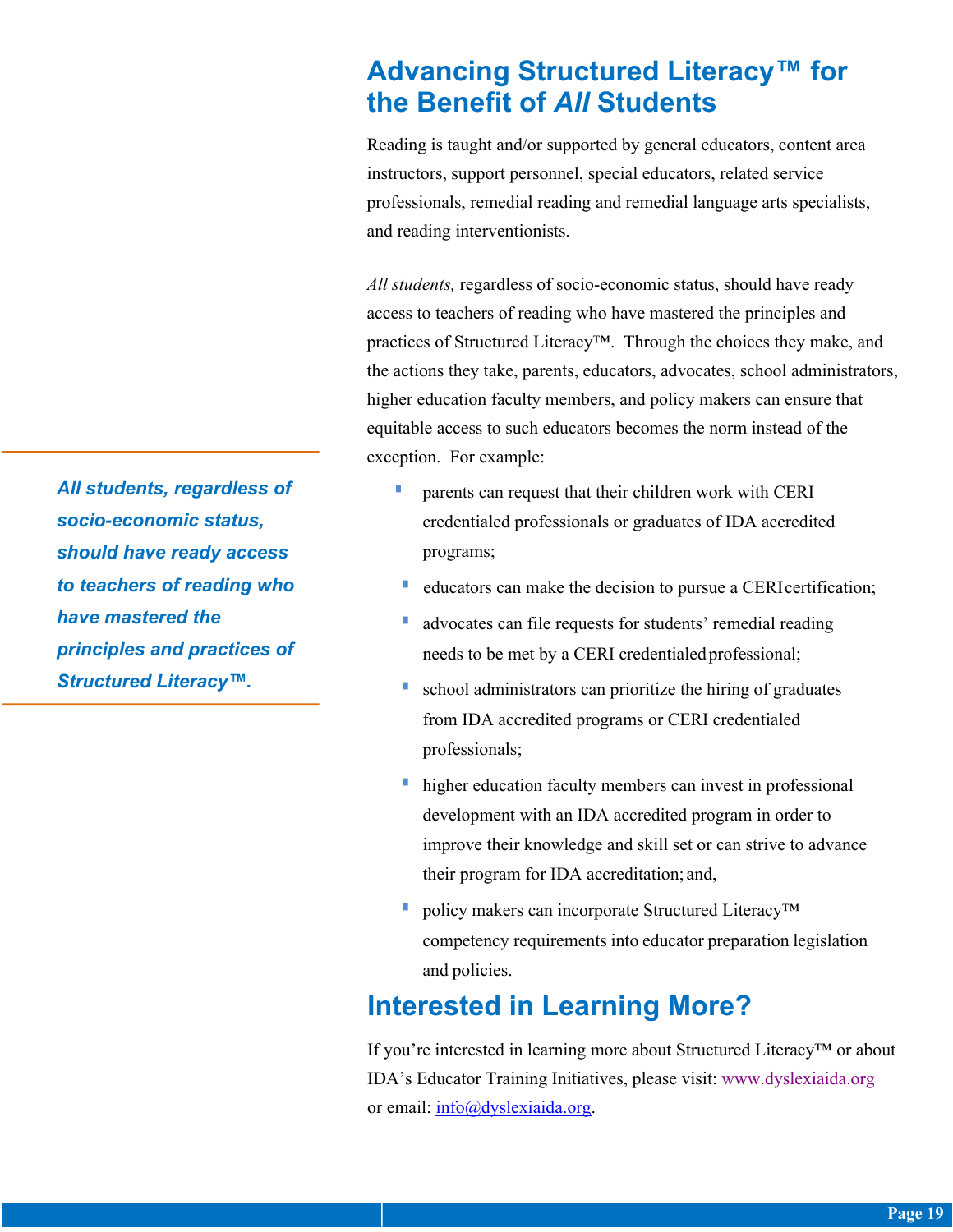## **Advancing Structured Literacy™ for the Benefit of** *All* **Students**

Reading is taught and/or supported by general educators, content area instructors, support personnel, special educators, related service professionals, remedial reading and remedial language arts specialists, and reading interventionists.

*All students,* regardless of socio-economic status, should have ready access to teachers of reading who have mastered the principles and practices of Structured Literacy™. Through the choices they make, and the actions they take, parents, educators, advocates, school administrators, higher education faculty members, and policy makers can ensure that equitable access to such educators becomes the norm instead of the exception. For example:

- **•** parents can request that their children work with CERI credentialed professionals or graduates of IDA accredited programs;
- educators can make the decision to pursue a CERI certification;
- advocates can file requests for students' remedial reading needs to be met by a CERI credentialed professional;
- § school administrators can prioritize the hiring of graduates from IDA accredited programs or CERI credentialed professionals;
- higher education faculty members can invest in professional development with an IDA accredited program in order to improve their knowledge and skill set or can strive to advance their program for IDA accreditation; and,
- policy makers can incorporate Structured Literacy™ competency requirements into educator preparation legislation and policies.

## **Interested in Learning More?**

If you're interested in learning more about Structured Literacy™ or about IDA's Educator Training Initiatives, please visit: www.dyslexiaida.org or email: info@dyslexiaida.org.

*All students, regardless of socio-economic status, should have ready access to teachers of reading who have mastered the principles and practices of Structured Literacy™.*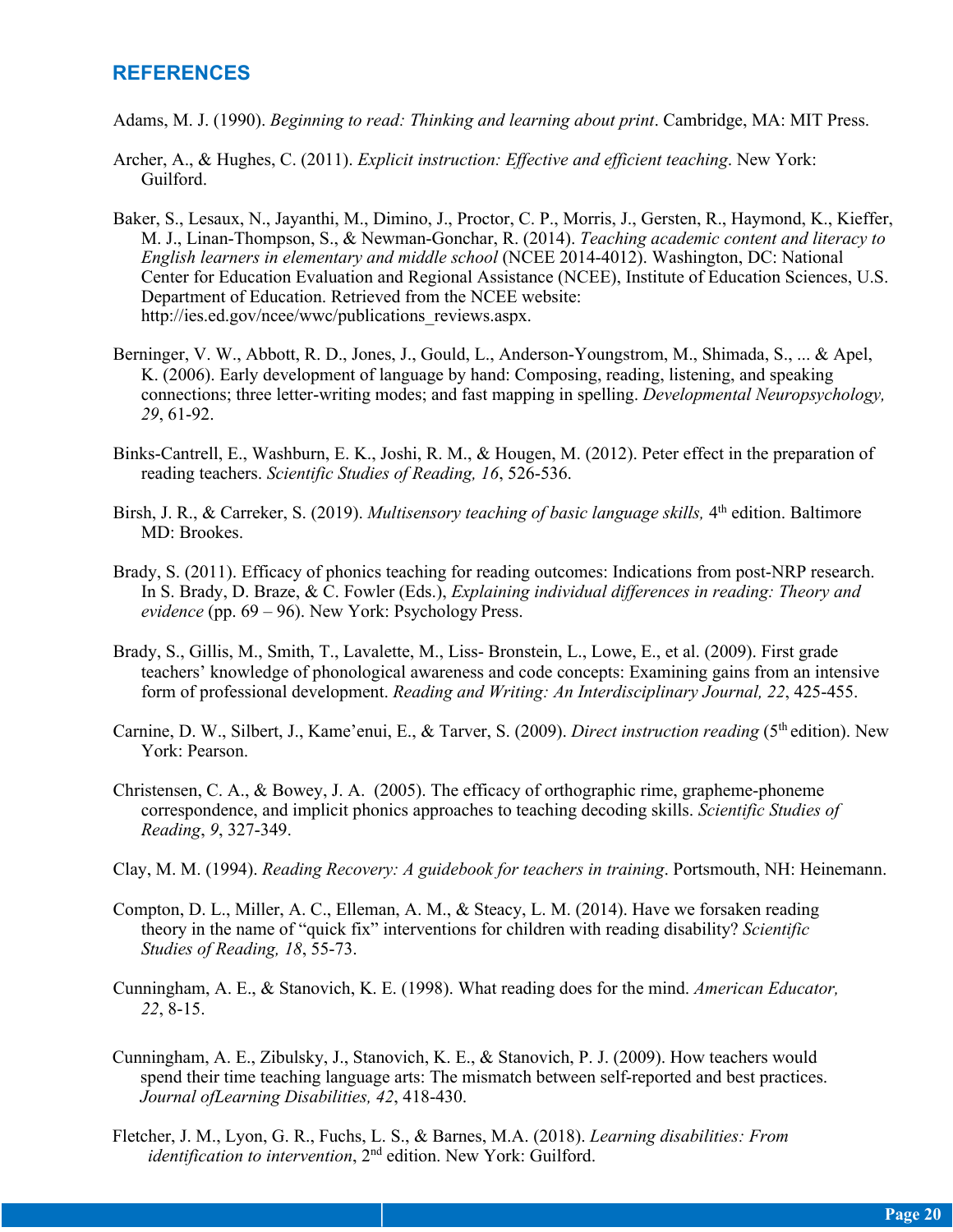#### **REFERENCES**

- Adams, M. J. (1990). *Beginning to read: Thinking and learning about print*. Cambridge, MA: MIT Press.
- Archer, A., & Hughes, C. (2011). *Explicit instruction: Effective and efficient teaching*. New York: Guilford.
- Baker, S., Lesaux, N., Jayanthi, M., Dimino, J., Proctor, C. P., Morris, J., Gersten, R., Haymond, K., Kieffer, M. J., Linan-Thompson, S., & Newman-Gonchar, R. (2014). *Teaching academic content and literacy to English learners in elementary and middle school* (NCEE 2014-4012). Washington, DC: National Center for Education Evaluation and Regional Assistance (NCEE), Institute of Education Sciences, U.S. Department of Education. Retrieved from the NCEE website: http://ies.ed.gov/ncee/wwc/publications\_reviews.aspx.
- Berninger, V. W., Abbott, R. D., Jones, J., Gould, L., Anderson-Youngstrom, M., Shimada, S., ... & Apel, K. (2006). Early development of language by hand: Composing, reading, listening, and speaking connections; three letter-writing modes; and fast mapping in spelling. *Developmental Neuropsychology, 29*, 61-92.
- Binks-Cantrell, E., Washburn, E. K., Joshi, R. M., & Hougen, M. (2012). Peter effect in the preparation of reading teachers. *Scientific Studies of Reading, 16*, 526-536.
- Birsh, J. R., & Carreker, S. (2019). *Multisensory teaching of basic language skills*, 4<sup>th</sup> edition. Baltimore MD: Brookes.
- Brady, S. (2011). Efficacy of phonics teaching for reading outcomes: Indications from post-NRP research. In S. Brady, D. Braze, & C. Fowler (Eds.), *Explaining individual differences in reading: Theory and evidence* (pp. 69 – 96). New York: Psychology Press.
- Brady, S., Gillis, M., Smith, T., Lavalette, M., Liss- Bronstein, L., Lowe, E., et al. (2009). First grade teachers' knowledge of phonological awareness and code concepts: Examining gains from an intensive form of professional development. *Reading and Writing: An Interdisciplinary Journal, 22*, 425-455.
- Carnine, D. W., Silbert, J., Kame'enui, E., & Tarver, S. (2009). *Direct instruction reading* (5<sup>th</sup> edition). New York: Pearson.
- Christensen, C. A., & Bowey, J. A. (2005). The efficacy of orthographic rime, grapheme-phoneme correspondence, and implicit phonics approaches to teaching decoding skills. *Scientific Studies of Reading*, *9*, 327-349.
- Clay, M. M. (1994). *Reading Recovery: A guidebook for teachers in training*. Portsmouth, NH: Heinemann.
- Compton, D. L., Miller, A. C., Elleman, A. M., & Steacy, L. M. (2014). Have we forsaken reading theory in the name of "quick fix" interventions for children with reading disability? *Scientific Studies of Reading, 18*, 55-73.
- Cunningham, A. E., & Stanovich, K. E. (1998). What reading does for the mind. *American Educator, 22*, 8-15.
- Cunningham, A. E., Zibulsky, J., Stanovich, K. E., & Stanovich, P. J. (2009). How teachers would spend their time teaching language arts: The mismatch between self-reported and best practices. *Journal ofLearning Disabilities, 42*, 418-430.
- Fletcher, J. M., Lyon, G. R., Fuchs, L. S., & Barnes, M.A. (2018). *Learning disabilities: From identification to intervention*, 2<sup>nd</sup> edition. New York: Guilford.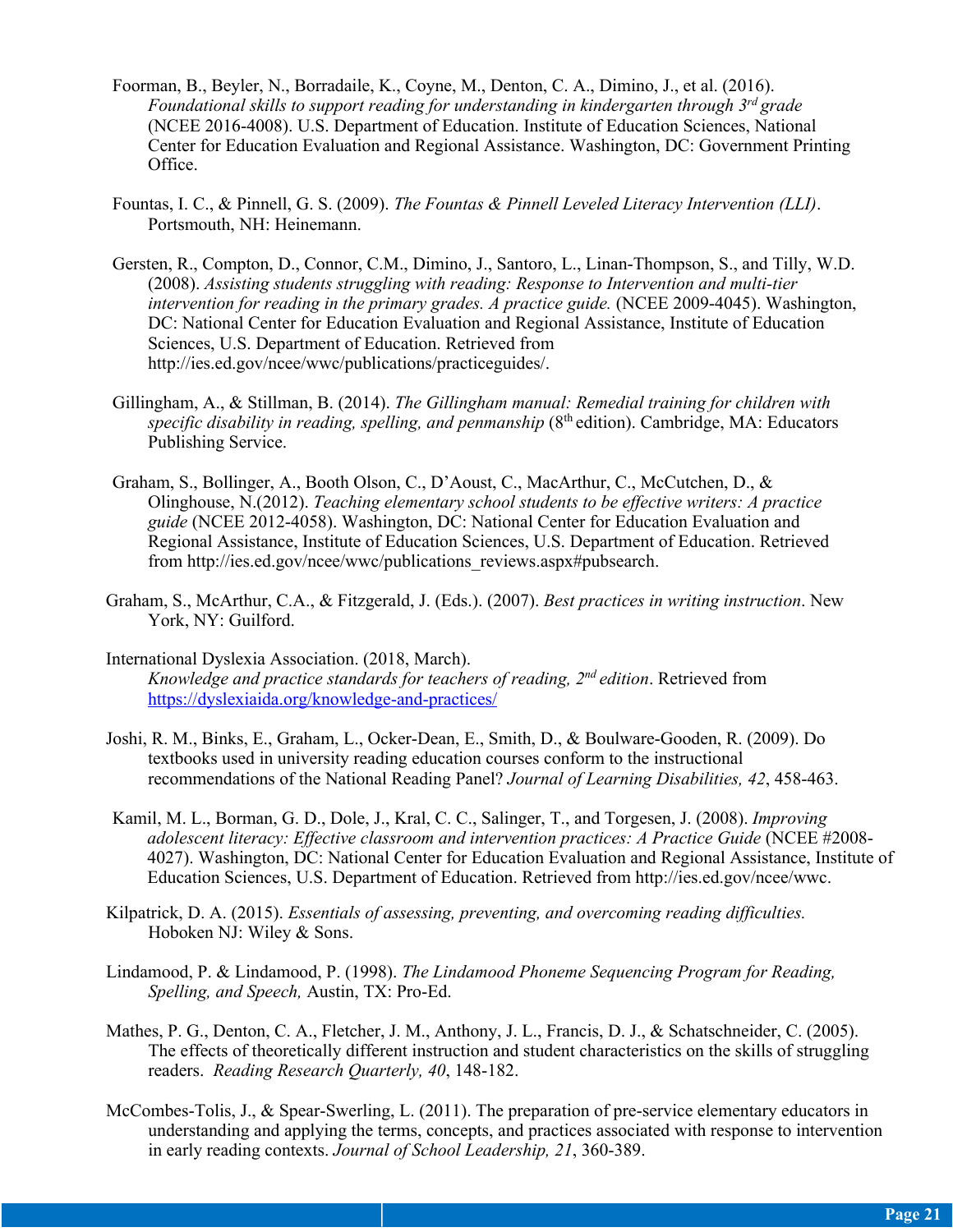- Foorman, B., Beyler, N., Borradaile, K., Coyne, M., Denton, C. A., Dimino, J., et al. (2016). *Foundational skills to support reading for understanding in kindergarten through 3rd grade*  (NCEE 2016-4008). U.S. Department of Education. Institute of Education Sciences, National Center for Education Evaluation and Regional Assistance. Washington, DC: Government Printing Office.
- Fountas, I. C., & Pinnell, G. S. (2009). *The Fountas & Pinnell Leveled Literacy Intervention (LLI)*. Portsmouth, NH: Heinemann.
- Gersten, R., Compton, D., Connor, C.M., Dimino, J., Santoro, L., Linan-Thompson, S., and Tilly, W.D. (2008). *Assisting students struggling with reading: Response to Intervention and multi-tier intervention for reading in the primary grades. A practice guide.* (NCEE 2009-4045). Washington, DC: National Center for Education Evaluation and Regional Assistance, Institute of Education Sciences, U.S. Department of Education. Retrieved from http://ies.ed.gov/ncee/wwc/publications/practiceguides/.
- Gillingham, A., & Stillman, B. (2014). *The Gillingham manual: Remedial training for children with specific disability in reading, spelling, and penmanship* (8<sup>th</sup> edition). Cambridge, MA: Educators Publishing Service.
- Graham, S., Bollinger, A., Booth Olson, C., D'Aoust, C., MacArthur, C., McCutchen, D., & Olinghouse, N.(2012). *Teaching elementary school students to be effective writers: A practice guide* (NCEE 2012-4058). Washington, DC: National Center for Education Evaluation and Regional Assistance, Institute of Education Sciences, U.S. Department of Education. Retrieved from http://ies.ed.gov/ncee/wwc/publications\_reviews.aspx#pubsearch.
- Graham, S., McArthur, C.A., & Fitzgerald, J. (Eds.). (2007). *Best practices in writing instruction*. New York, NY: Guilford.
- International Dyslexia Association. (2018, March). *Knowledge and practice standards for teachers of reading, 2nd edition*. Retrieved from https://dyslexiaida.org/knowledge-and-practices/
- Joshi, R. M., Binks, E., Graham, L., Ocker-Dean, E., Smith, D., & Boulware-Gooden, R. (2009). Do textbooks used in university reading education courses conform to the instructional recommendations of the National Reading Panel? *Journal of Learning Disabilities, 42*, 458-463.
- Kamil, M. L., Borman, G. D., Dole, J., Kral, C. C., Salinger, T., and Torgesen, J. (2008). *Improving adolescent literacy: Effective classroom and intervention practices: A Practice Guide* (NCEE #2008- 4027). Washington, DC: National Center for Education Evaluation and Regional Assistance, Institute of Education Sciences, U.S. Department of Education. Retrieved from http://ies.ed.gov/ncee/wwc.
- Kilpatrick, D. A. (2015). *Essentials of assessing, preventing, and overcoming reading difficulties.*  Hoboken NJ: Wiley & Sons.
- Lindamood, P. & Lindamood, P. (1998). *The Lindamood Phoneme Sequencing Program for Reading, Spelling, and Speech,* Austin, TX: Pro-Ed.
- Mathes, P. G., Denton, C. A., Fletcher, J. M., Anthony, J. L., Francis, D. J., & Schatschneider, C. (2005). The effects of theoretically different instruction and student characteristics on the skills of struggling readers. *Reading Research Quarterly, 40*, 148-182.
- McCombes-Tolis, J., & Spear-Swerling, L. (2011). The preparation of pre-service elementary educators in understanding and applying the terms, concepts, and practices associated with response to intervention in early reading contexts. *Journal of School Leadership, 21*, 360-389.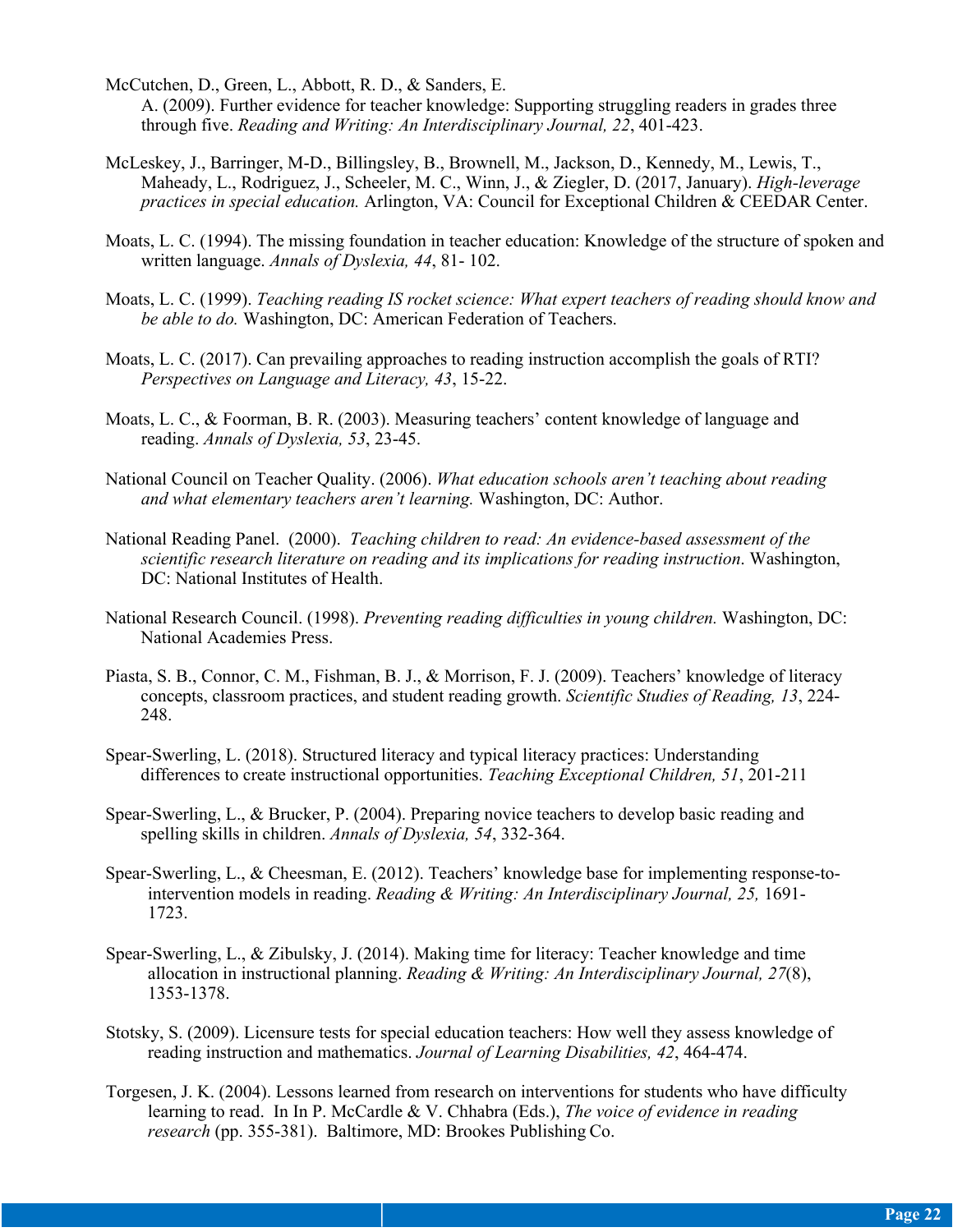- McCutchen, D., Green, L., Abbott, R. D., & Sanders, E. A. (2009). Further evidence for teacher knowledge: Supporting struggling readers in grades three through five. *Reading and Writing: An Interdisciplinary Journal, 22*, 401-423.
- McLeskey, J., Barringer, M-D., Billingsley, B., Brownell, M., Jackson, D., Kennedy, M., Lewis, T., Maheady, L., Rodriguez, J., Scheeler, M. C., Winn, J., & Ziegler, D. (2017, January). *High-leverage practices in special education.* Arlington, VA: Council for Exceptional Children & CEEDAR Center.
- Moats, L. C. (1994). The missing foundation in teacher education: Knowledge of the structure of spoken and written language. *Annals of Dyslexia, 44*, 81- 102.
- Moats, L. C. (1999). *Teaching reading IS rocket science: What expert teachers of reading should know and be able to do.* Washington, DC: American Federation of Teachers.
- Moats, L. C. (2017). Can prevailing approaches to reading instruction accomplish the goals of RTI? *Perspectives on Language and Literacy, 43*, 15-22.
- Moats, L. C., & Foorman, B. R. (2003). Measuring teachers' content knowledge of language and reading. *Annals of Dyslexia, 53*, 23-45.
- National Council on Teacher Quality. (2006). *What education schools aren't teaching about reading and what elementary teachers aren't learning.* Washington, DC: Author.
- National Reading Panel. (2000). *Teaching children to read: An evidence-based assessment of the scientific research literature on reading and its implications for reading instruction*. Washington, DC: National Institutes of Health.
- National Research Council. (1998). *Preventing reading difficulties in young children.* Washington, DC: National Academies Press.
- Piasta, S. B., Connor, C. M., Fishman, B. J., & Morrison, F. J. (2009). Teachers' knowledge of literacy concepts, classroom practices, and student reading growth. *Scientific Studies of Reading, 13*, 224- 248.
- Spear-Swerling, L. (2018). Structured literacy and typical literacy practices: Understanding differences to create instructional opportunities. *Teaching Exceptional Children, 51*, 201-211
- Spear-Swerling, L., & Brucker, P. (2004). Preparing novice teachers to develop basic reading and spelling skills in children. *Annals of Dyslexia, 54*, 332-364.
- Spear-Swerling, L., & Cheesman, E. (2012). Teachers' knowledge base for implementing response-tointervention models in reading. *Reading & Writing: An Interdisciplinary Journal, 25,* 1691- 1723.
- Spear-Swerling, L., & Zibulsky, J. (2014). Making time for literacy: Teacher knowledge and time allocation in instructional planning. *Reading & Writing: An Interdisciplinary Journal, 27*(8), 1353-1378.
- Stotsky, S. (2009). Licensure tests for special education teachers: How well they assess knowledge of reading instruction and mathematics. *Journal of Learning Disabilities, 42*, 464-474.
- Torgesen, J. K. (2004). Lessons learned from research on interventions for students who have difficulty learning to read. In In P. McCardle & V. Chhabra (Eds.), *The voice of evidence in reading research* (pp. 355-381). Baltimore, MD: Brookes Publishing Co.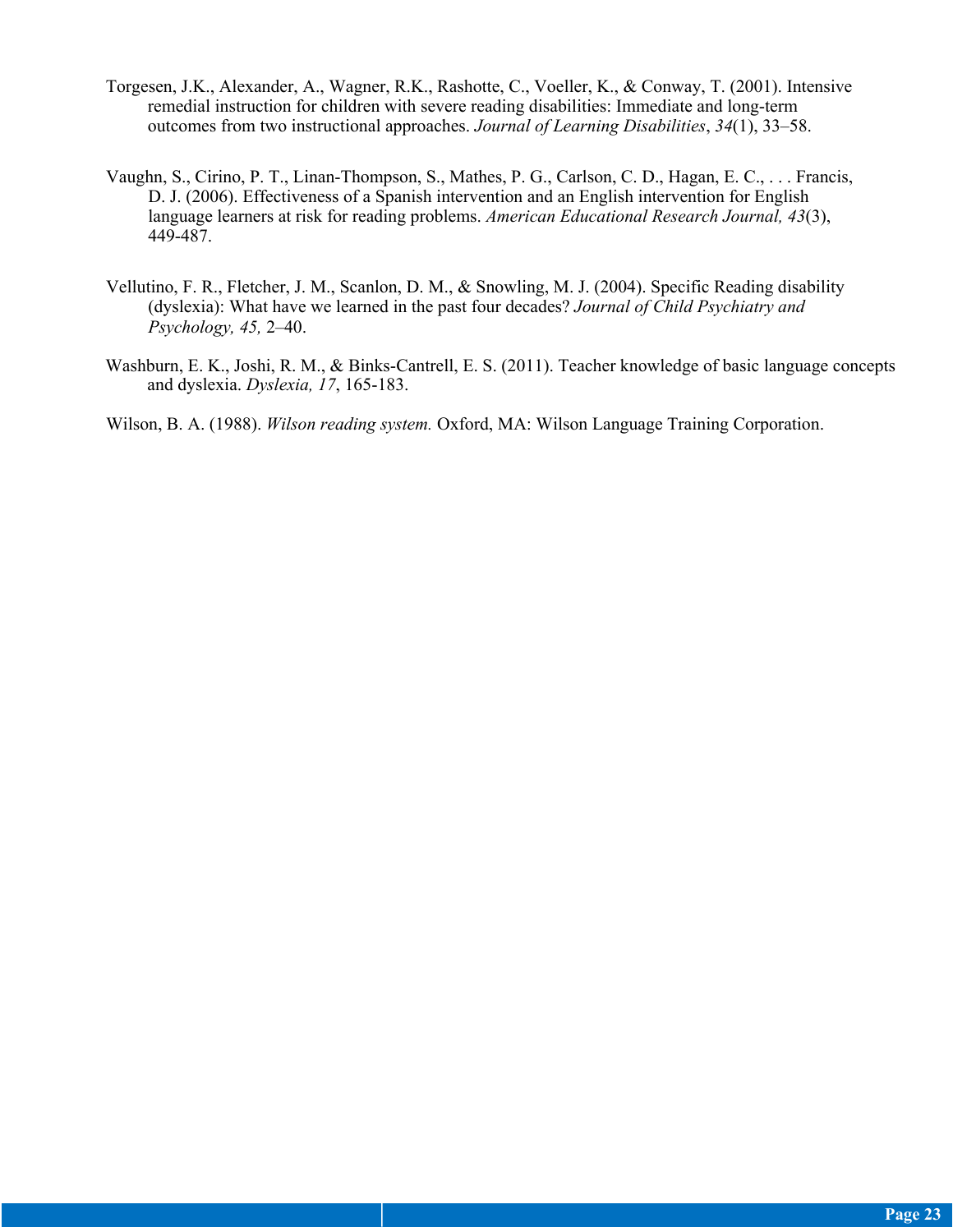- Torgesen, J.K., Alexander, A., Wagner, R.K., Rashotte, C., Voeller, K., & Conway, T. (2001). Intensive remedial instruction for children with severe reading disabilities: Immediate and long-term outcomes from two instructional approaches. *Journal of Learning Disabilities*, *34*(1), 33–58.
- Vaughn, S., Cirino, P. T., Linan-Thompson, S., Mathes, P. G., Carlson, C. D., Hagan, E. C., . . . Francis, D. J. (2006). Effectiveness of a Spanish intervention and an English intervention for English language learners at risk for reading problems. *American Educational Research Journal, 43*(3), 449-487.
- Vellutino, F. R., Fletcher, J. M., Scanlon, D. M., & Snowling, M. J. (2004). Specific Reading disability (dyslexia): What have we learned in the past four decades? *Journal of Child Psychiatry and Psychology, 45,* 2–40.
- Washburn, E. K., Joshi, R. M., & Binks-Cantrell, E. S. (2011). Teacher knowledge of basic language concepts and dyslexia. *Dyslexia, 17*, 165-183.

Wilson, B. A. (1988). *Wilson reading system.* Oxford, MA: Wilson Language Training Corporation.